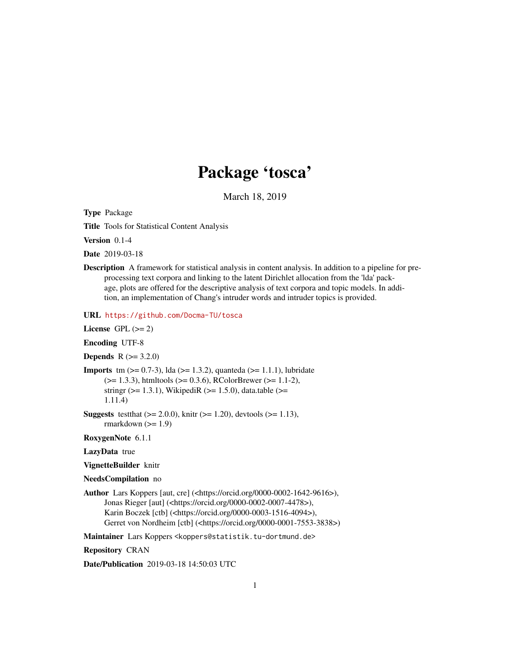# Package 'tosca'

March 18, 2019

<span id="page-0-0"></span>Type Package

Title Tools for Statistical Content Analysis

Version 0.1-4

Date 2019-03-18

Description A framework for statistical analysis in content analysis. In addition to a pipeline for preprocessing text corpora and linking to the latent Dirichlet allocation from the 'lda' package, plots are offered for the descriptive analysis of text corpora and topic models. In addition, an implementation of Chang's intruder words and intruder topics is provided.

URL <https://github.com/Docma-TU/tosca>

License GPL  $(>= 2)$ 

Encoding UTF-8

**Depends** R  $(>= 3.2.0)$ 

**Imports** tm  $(>= 0.7-3)$ , lda  $(>= 1.3.2)$ , quanteda  $(>= 1.1.1)$ , lubridate (>= 1.3.3), htmltools (>= 0.3.6), RColorBrewer (>= 1.1-2), stringr ( $>= 1.3.1$ ), WikipediR ( $>= 1.5.0$ ), data.table ( $>=$ 1.11.4)

**Suggests** test that  $(>= 2.0.0)$ , knitr  $(>= 1.20)$ , devtools  $(>= 1.13)$ , rmarkdown  $(>= 1.9)$ 

RoxygenNote 6.1.1

LazyData true

VignetteBuilder knitr

NeedsCompilation no

Author Lars Koppers [aut, cre] (<https://orcid.org/0000-0002-1642-9616>), Jonas Rieger [aut] (<https://orcid.org/0000-0002-0007-4478>), Karin Boczek [ctb] (<https://orcid.org/0000-0003-1516-4094>), Gerret von Nordheim [ctb] (<https://orcid.org/0000-0001-7553-3838>)

Maintainer Lars Koppers <koppers@statistik.tu-dortmund.de>

Repository CRAN

Date/Publication 2019-03-18 14:50:03 UTC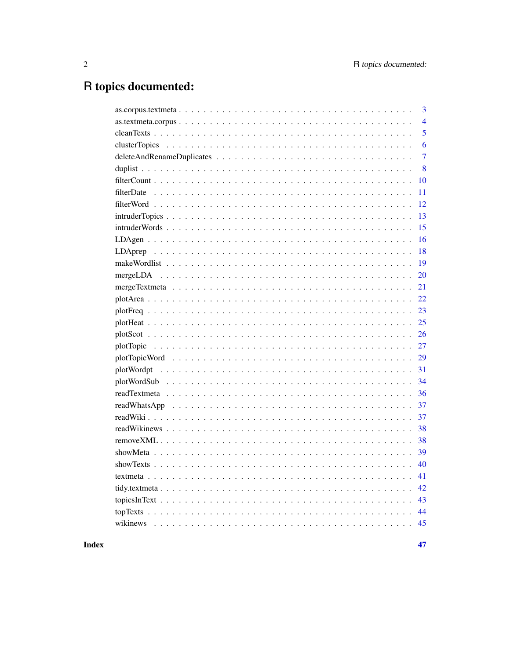# R topics documented:

| 3              |
|----------------|
| $\overline{4}$ |
| 5              |
| 6              |
| $\overline{7}$ |
| 8              |
| 10             |
| 11             |
| 12             |
| 13             |
| 15             |
| 16             |
| 18             |
| 19             |
| 20             |
| 21             |
| 22             |
| 23             |
| 25             |
| 26             |
| 27             |
| 29             |
| 31             |
| 34             |
| 36             |
| 37             |
| 37             |
| 38             |
| 38             |
| 39             |
| 40             |
| 41             |
| 42             |
| 43             |
| 44             |
| 45             |
|                |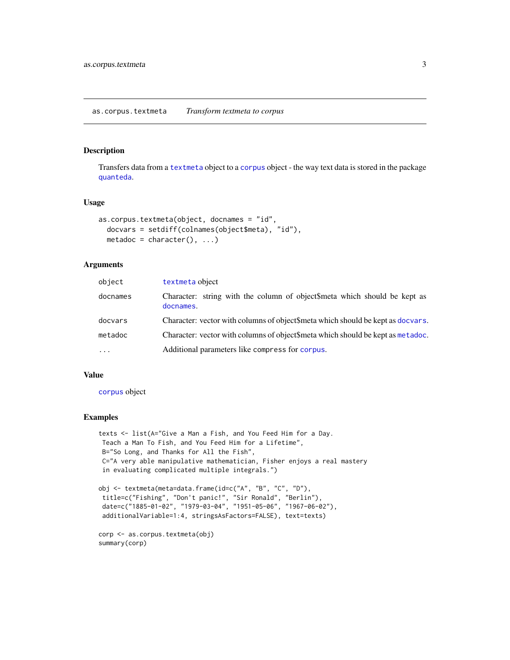<span id="page-2-0"></span>Transfers data from a [textmeta](#page-40-1) object to a [corpus](#page-0-0) object - the way text data is stored in the package [quanteda](#page-0-0).

# Usage

```
as.corpus.textmeta(object, docnames = "id",
 docvars = setdiff(colnames(object$meta), "id"),
 metadoc = character(), ...)
```
#### Arguments

| object   | textmeta object                                                                        |
|----------|----------------------------------------------------------------------------------------|
| docnames | Character: string with the column of object\$meta which should be kept as<br>docnames. |
| docvars  | Character: vector with columns of object\$meta which should be kept as docvars.        |
| metadoc  | Character: vector with columns of object \$meta which should be kept as metadoc.       |
| $\cdot$  | Additional parameters like compress for corpus.                                        |

# Value

[corpus](#page-0-0) object

# Examples

```
texts <- list(A="Give a Man a Fish, and You Feed Him for a Day.
Teach a Man To Fish, and You Feed Him for a Lifetime",
B="So Long, and Thanks for All the Fish",
C="A very able manipulative mathematician, Fisher enjoys a real mastery
in evaluating complicated multiple integrals.")
obj <- textmeta(meta=data.frame(id=c("A", "B", "C", "D"),
 title=c("Fishing", "Don't panic!", "Sir Ronald", "Berlin"),
 date=c("1885-01-02", "1979-03-04", "1951-05-06", "1967-06-02"),
additionalVariable=1:4, stringsAsFactors=FALSE), text=texts)
corp <- as.corpus.textmeta(obj)
summary(corp)
```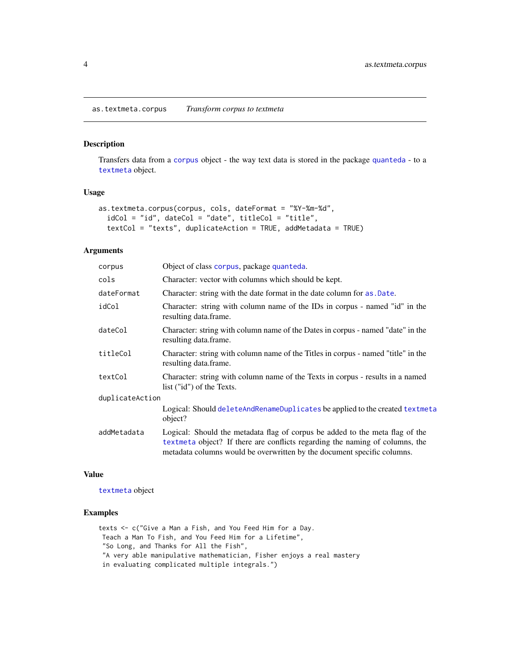<span id="page-3-0"></span>Transfers data from a [corpus](#page-0-0) object - the way text data is stored in the package [quanteda](#page-0-0) - to a [textmeta](#page-40-1) object.

# Usage

```
as.textmeta.corpus(corpus, cols, dateFormat = "%Y-%m-%d",
  idCol = "id", dateCol = "date", titleCol = "title",
  textCol = "texts", duplicateAction = TRUE, addMetadata = TRUE)
```
#### Arguments

| corpus          | Object of class corpus, package quanteda.                                                                                                                                                                                               |  |
|-----------------|-----------------------------------------------------------------------------------------------------------------------------------------------------------------------------------------------------------------------------------------|--|
| cols            | Character: vector with columns which should be kept.                                                                                                                                                                                    |  |
| dateFormat      | Character: string with the date format in the date column for as . Date.                                                                                                                                                                |  |
| idCol           | Character: string with column name of the IDs in corpus - named "id" in the<br>resulting data.frame.                                                                                                                                    |  |
| dateCol         | Character: string with column name of the Dates in corpus - named "date" in the<br>resulting data.frame.                                                                                                                                |  |
| titleCol        | Character: string with column name of the Titles in corpus - named "title" in the<br>resulting data.frame.                                                                                                                              |  |
| textCol         | Character: string with column name of the Texts in corpus - results in a named<br>list ("id") of the Texts.                                                                                                                             |  |
| duplicateAction |                                                                                                                                                                                                                                         |  |
|                 | Logical: Should deleteAndRenameDuplicates be applied to the created textmeta<br>object?                                                                                                                                                 |  |
| addMetadata     | Logical: Should the metadata flag of corpus be added to the meta flag of the<br>textmeta object? If there are conflicts regarding the naming of columns, the<br>metadata columns would be overwritten by the document specific columns. |  |

#### Value

[textmeta](#page-40-1) object

# Examples

texts <- c("Give a Man a Fish, and You Feed Him for a Day. Teach a Man To Fish, and You Feed Him for a Lifetime", "So Long, and Thanks for All the Fish", "A very able manipulative mathematician, Fisher enjoys a real mastery in evaluating complicated multiple integrals.")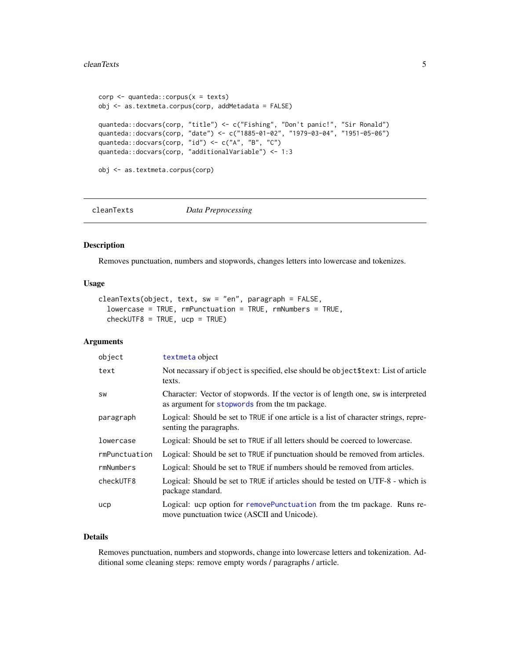#### <span id="page-4-0"></span>cleanTexts 5

```
corp <- quanteda::corpus(x = texts)
obj <- as.textmeta.corpus(corp, addMetadata = FALSE)
quanteda::docvars(corp, "title") <- c("Fishing", "Don't panic!", "Sir Ronald")
quanteda::docvars(corp, "date") <- c("1885-01-02", "1979-03-04", "1951-05-06")
quanteda::docvars(corp, "id") <- c("A", "B", "C")
quanteda::docvars(corp, "additionalVariable") <- 1:3
obj <- as.textmeta.corpus(corp)
```
<span id="page-4-1"></span>cleanTexts *Data Preprocessing*

#### Description

Removes punctuation, numbers and stopwords, changes letters into lowercase and tokenizes.

#### Usage

```
cleanTexts(object, text, sw = "en", paragraph = FALSE,
  lowercase = TRUE, rmPunctuation = TRUE, rmNumbers = TRUE,
  checkUTF8 = TRUE, ucp = TRUE
```
# Arguments

| object        | textmeta object                                                                                                                     |
|---------------|-------------------------------------------------------------------------------------------------------------------------------------|
| text          | Not necassary if object is specified, else should be object \$text: List of article<br>texts.                                       |
| <b>SW</b>     | Character: Vector of stopwords. If the vector is of length one, sw is interpreted<br>as argument for stopwords from the tm package. |
| paragraph     | Logical: Should be set to TRUE if one article is a list of character strings, repre-<br>senting the paragraphs.                     |
| lowercase     | Logical: Should be set to TRUE if all letters should be coerced to lowercase.                                                       |
| rmPunctuation | Logical: Should be set to TRUE if punctuation should be removed from articles.                                                      |
| rmNumbers     | Logical: Should be set to TRUE if numbers should be removed from articles.                                                          |
| checkUTF8     | Logical: Should be set to TRUE if articles should be tested on UTF-8 - which is<br>package standard.                                |
| ucp           | Logical: ucp option for removePunctuation from the tm package. Runs re-<br>move punctuation twice (ASCII and Unicode).              |

# Details

Removes punctuation, numbers and stopwords, change into lowercase letters and tokenization. Additional some cleaning steps: remove empty words / paragraphs / article.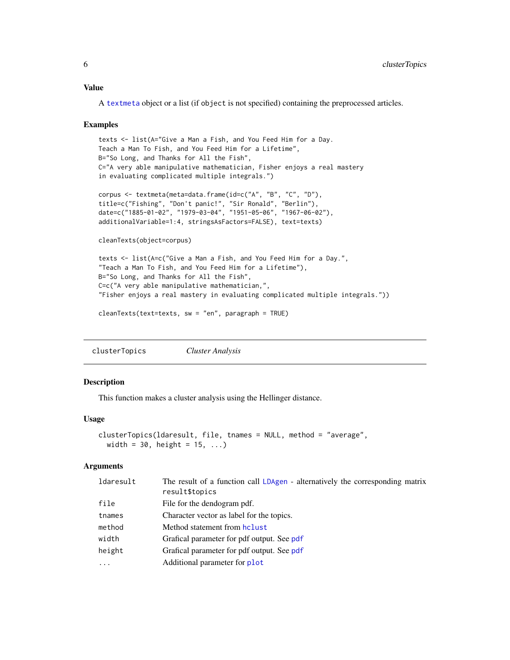# <span id="page-5-0"></span>Value

A [textmeta](#page-40-1) object or a list (if object is not specified) containing the preprocessed articles.

#### Examples

```
texts <- list(A="Give a Man a Fish, and You Feed Him for a Day.
Teach a Man To Fish, and You Feed Him for a Lifetime",
B="So Long, and Thanks for All the Fish",
C="A very able manipulative mathematician, Fisher enjoys a real mastery
in evaluating complicated multiple integrals.")
corpus <- textmeta(meta=data.frame(id=c("A", "B", "C", "D"),
title=c("Fishing", "Don't panic!", "Sir Ronald", "Berlin"),
date=c("1885-01-02", "1979-03-04", "1951-05-06", "1967-06-02"),
additionalVariable=1:4, stringsAsFactors=FALSE), text=texts)
cleanTexts(object=corpus)
texts <- list(A=c("Give a Man a Fish, and You Feed Him for a Day.",
"Teach a Man To Fish, and You Feed Him for a Lifetime"),
B="So Long, and Thanks for All the Fish",
C=c("A very able manipulative mathematician,",
"Fisher enjoys a real mastery in evaluating complicated multiple integrals."))
```

```
cleanTexts(text=texts, sw = "en", paragraph = TRUE)
```
<span id="page-5-1"></span>clusterTopics *Cluster Analysis*

#### **Description**

This function makes a cluster analysis using the Hellinger distance.

#### Usage

```
clusterTopics(ldaresult, file, tnames = NULL, method = "average",
 width = 30, height = 15, ...)
```

| ldaresult | The result of a function call LDAgen - alternatively the corresponding matrix<br>result\$topics |
|-----------|-------------------------------------------------------------------------------------------------|
| file      | File for the dendogram pdf.                                                                     |
| tnames    | Character vector as label for the topics.                                                       |
| method    | Method statement from holust                                                                    |
| width     | Grafical parameter for pdf output. See pdf                                                      |
| height    | Grafical parameter for pdf output. See pdf                                                      |
| $\ddotsc$ | Additional parameter for plot                                                                   |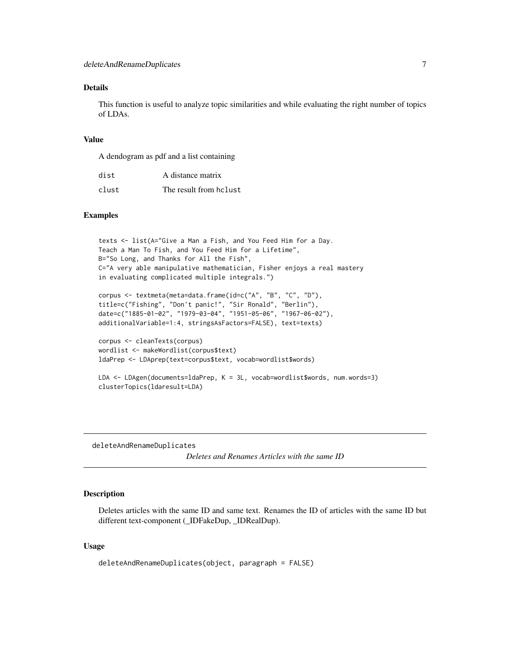# <span id="page-6-0"></span>Details

This function is useful to analyze topic similarities and while evaluating the right number of topics of LDAs.

# Value

A dendogram as pdf and a list containing

| dist  | A distance matrix      |
|-------|------------------------|
| clust | The result from holust |

#### Examples

```
texts <- list(A="Give a Man a Fish, and You Feed Him for a Day.
Teach a Man To Fish, and You Feed Him for a Lifetime",
B="So Long, and Thanks for All the Fish",
C="A very able manipulative mathematician, Fisher enjoys a real mastery
in evaluating complicated multiple integrals.")
corpus <- textmeta(meta=data.frame(id=c("A", "B", "C", "D"),
title=c("Fishing", "Don't panic!", "Sir Ronald", "Berlin"),
date=c("1885-01-02", "1979-03-04", "1951-05-06", "1967-06-02"),
additionalVariable=1:4, stringsAsFactors=FALSE), text=texts)
corpus <- cleanTexts(corpus)
```

```
wordlist <- makeWordlist(corpus$text)
ldaPrep <- LDAprep(text=corpus$text, vocab=wordlist$words)
```

```
LDA <- LDAgen(documents=ldaPrep, K = 3L, vocab=wordlist$words, num.words=3)
clusterTopics(ldaresult=LDA)
```
<span id="page-6-1"></span>deleteAndRenameDuplicates *Deletes and Renames Articles with the same ID*

# Description

Deletes articles with the same ID and same text. Renames the ID of articles with the same ID but different text-component (\_IDFakeDup, \_IDRealDup).

#### Usage

```
deleteAndRenameDuplicates(object, paragraph = FALSE)
```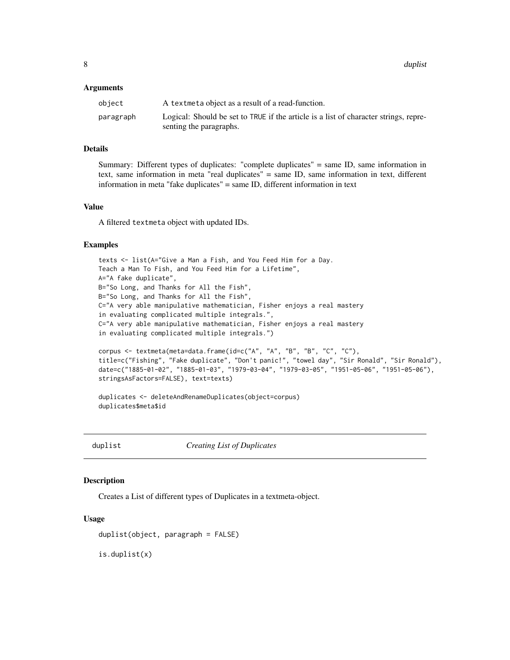#### <span id="page-7-0"></span>Arguments

| object    | A textmeta object as a result of a read-function.                                    |
|-----------|--------------------------------------------------------------------------------------|
| paragraph | Logical: Should be set to TRUE if the article is a list of character strings, repre- |
|           | senting the paragraphs.                                                              |

#### Details

Summary: Different types of duplicates: "complete duplicates" = same ID, same information in text, same information in meta "real duplicates" = same ID, same information in text, different information in meta "fake duplicates" = same ID, different information in text

#### Value

A filtered textmeta object with updated IDs.

#### Examples

```
texts <- list(A="Give a Man a Fish, and You Feed Him for a Day.
Teach a Man To Fish, and You Feed Him for a Lifetime",
A="A fake duplicate",
B="So Long, and Thanks for All the Fish",
B="So Long, and Thanks for All the Fish",
C="A very able manipulative mathematician, Fisher enjoys a real mastery
in evaluating complicated multiple integrals.",
C="A very able manipulative mathematician, Fisher enjoys a real mastery
in evaluating complicated multiple integrals.")
corpus <- textmeta(meta=data.frame(id=c("A", "A", "B", "B", "C", "C"),
title=c("Fishing", "Fake duplicate", "Don't panic!", "towel day", "Sir Ronald", "Sir Ronald"),
date=c("1885-01-02", "1885-01-03", "1979-03-04", "1979-03-05", "1951-05-06", "1951-05-06"),
stringsAsFactors=FALSE), text=texts)
duplicates <- deleteAndRenameDuplicates(object=corpus)
duplicates$meta$id
```
duplist *Creating List of Duplicates*

#### Description

Creates a List of different types of Duplicates in a textmeta-object.

#### Usage

```
duplist(object, paragraph = FALSE)
```
is.duplist(x)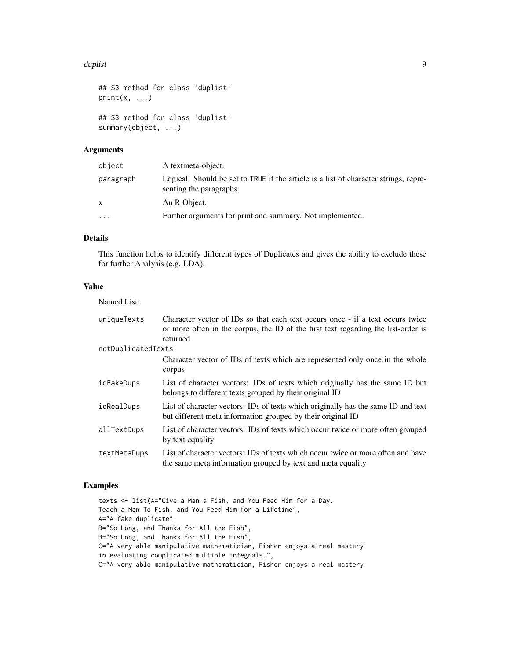#### duplist the contract of the contract of the contract of the contract of the contract of the contract of the contract of the contract of the contract of the contract of the contract of the contract of the contract of the co

```
## S3 method for class 'duplist'
print(x, \ldots)## S3 method for class 'duplist'
summary(object, ...)
```
# Arguments

| object    | A textmeta-object.                                                                                              |
|-----------|-----------------------------------------------------------------------------------------------------------------|
| paragraph | Logical: Should be set to TRUE if the article is a list of character strings, repre-<br>senting the paragraphs. |
| x         | An R Object.                                                                                                    |
| $\ddotsc$ | Further arguments for print and summary. Not implemented.                                                       |

# Details

This function helps to identify different types of Duplicates and gives the ability to exclude these for further Analysis (e.g. LDA).

# Value

| Named List:        |                                                                                                                                                                                 |
|--------------------|---------------------------------------------------------------------------------------------------------------------------------------------------------------------------------|
| uniqueTexts        | Character vector of IDs so that each text occurs once - if a text occurs twice<br>or more often in the corpus, the ID of the first text regarding the list-order is<br>returned |
| notDuplicatedTexts |                                                                                                                                                                                 |
|                    | Character vector of IDs of texts which are represented only once in the whole<br>corpus                                                                                         |
| idFakeDups         | List of character vectors: IDs of texts which originally has the same ID but<br>belongs to different texts grouped by their original ID                                         |
| idRealDups         | List of character vectors: IDs of texts which originally has the same ID and text<br>but different meta information grouped by their original ID                                |
| allTextDups        | List of character vectors: IDs of texts which occur twice or more often grouped<br>by text equality                                                                             |
| textMetaDups       | List of character vectors: IDs of texts which occur twice or more often and have<br>the same meta information grouped by text and meta equality                                 |

# Examples

texts <- list(A="Give a Man a Fish, and You Feed Him for a Day. Teach a Man To Fish, and You Feed Him for a Lifetime", A="A fake duplicate", B="So Long, and Thanks for All the Fish", B="So Long, and Thanks for All the Fish", C="A very able manipulative mathematician, Fisher enjoys a real mastery in evaluating complicated multiple integrals.", C="A very able manipulative mathematician, Fisher enjoys a real mastery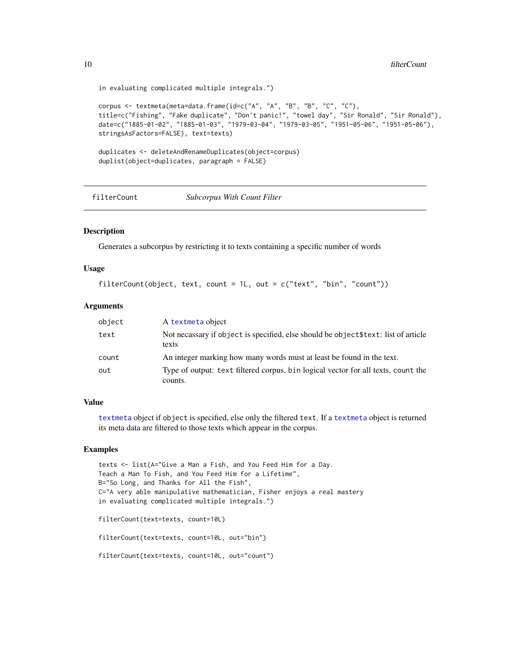```
in evaluating complicated multiple integrals.")
```

```
corpus <- textmeta(meta=data.frame(id=c("A", "A", "B", "B", "C", "C"),
title=c("Fishing", "Fake duplicate", "Don't panic!", "towel day", "Sir Ronald", "Sir Ronald"),
date=c("1885-01-02", "1885-01-03", "1979-03-04", "1979-03-05", "1951-05-06", "1951-05-06"),
stringsAsFactors=FALSE), text=texts)
duplicates <- deleteAndRenameDuplicates(object=corpus)
```

```
duplist(object=duplicates, paragraph = FALSE)
```
filterCount *Subcorpus With Count Filter*

#### Description

Generates a subcorpus by restricting it to texts containing a specific number of words

#### Usage

```
filterCount(object, text, count = 1L, out = c("text", "bin", "count"))
```
#### Arguments

| object | A textmeta object                                                                            |
|--------|----------------------------------------------------------------------------------------------|
| text   | Not necassary if object is specified, else should be object \$text: list of article<br>texts |
| count  | An integer marking how many words must at least be found in the text.                        |
| out    | Type of output: text filtered corpus, bin logical vector for all texts, count the<br>counts. |

#### Value

[textmeta](#page-40-1) object if object is specified, else only the filtered text. If a [textmeta](#page-40-1) object is returned its meta data are filtered to those texts which appear in the corpus.

# Examples

```
texts <- list(A="Give a Man a Fish, and You Feed Him for a Day.
Teach a Man To Fish, and You Feed Him for a Lifetime",
B="So Long, and Thanks for All the Fish",
C="A very able manipulative mathematician, Fisher enjoys a real mastery
in evaluating complicated multiple integrals.")
filterCount(text=texts, count=10L)
```
filterCount(text=texts, count=10L, out="bin")

filterCount(text=texts, count=10L, out="count")

<span id="page-9-0"></span>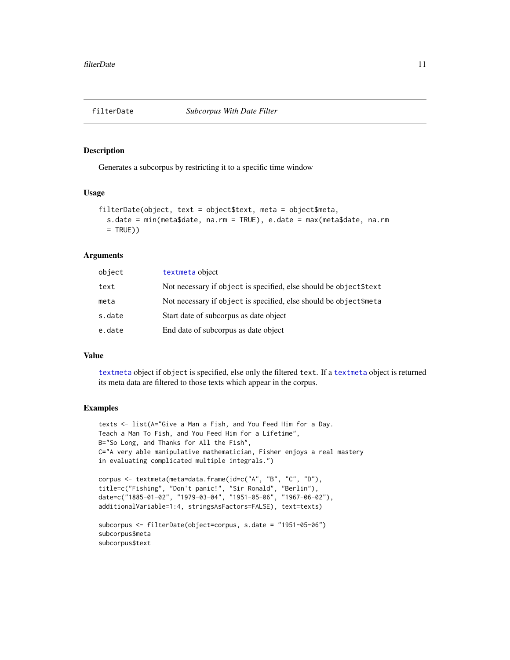<span id="page-10-0"></span>

Generates a subcorpus by restricting it to a specific time window

#### Usage

```
filterDate(object, text = object$text, meta = object$meta,
  s.date = min(meta$date, na.rm = TRUE), e.date = max(meta$date, na.rm
 = TRUE))
```
#### Arguments

| object | textmeta object                                                    |
|--------|--------------------------------------------------------------------|
| text   | Not necessary if object is specified, else should be object \$text |
| meta   | Not necessary if object is specified, else should be object\$meta  |
| s.date | Start date of subcorpus as date object                             |
| e.date | End date of subcorpus as date object                               |

#### Value

[textmeta](#page-40-1) object if object is specified, else only the filtered text. If a [textmeta](#page-40-1) object is returned its meta data are filtered to those texts which appear in the corpus.

# Examples

subcorpus\$text

```
texts <- list(A="Give a Man a Fish, and You Feed Him for a Day.
Teach a Man To Fish, and You Feed Him for a Lifetime",
B="So Long, and Thanks for All the Fish",
C="A very able manipulative mathematician, Fisher enjoys a real mastery
in evaluating complicated multiple integrals.")
corpus <- textmeta(meta=data.frame(id=c("A", "B", "C", "D"),
title=c("Fishing", "Don't panic!", "Sir Ronald", "Berlin"),
date=c("1885-01-02", "1979-03-04", "1951-05-06", "1967-06-02"),
additionalVariable=1:4, stringsAsFactors=FALSE), text=texts)
subcorpus <- filterDate(object=corpus, s.date = "1951-05-06")
subcorpus$meta
```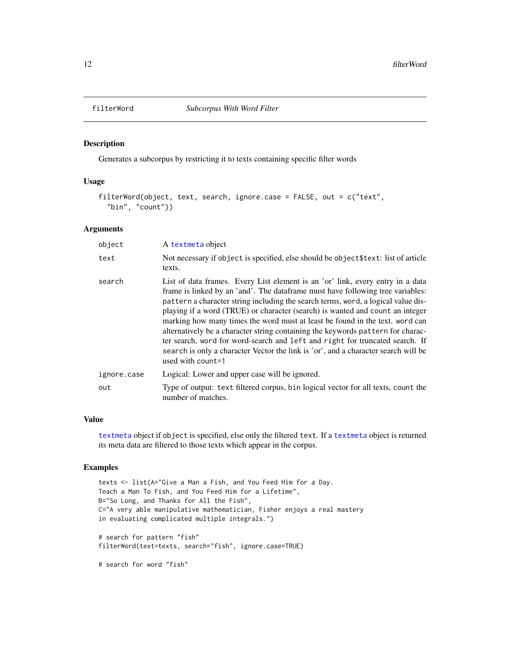<span id="page-11-1"></span><span id="page-11-0"></span>

Generates a subcorpus by restricting it to texts containing specific filter words

#### Usage

```
filterWord(object, text, search, ignore.case = FALSE, out = c("text",
  "bin", "count"))
```
# Arguments

| object      | A textmeta object                                                                                                                                                                                                                                                                                                                                                                                                                                                                                                                                                                                                                                                                                     |
|-------------|-------------------------------------------------------------------------------------------------------------------------------------------------------------------------------------------------------------------------------------------------------------------------------------------------------------------------------------------------------------------------------------------------------------------------------------------------------------------------------------------------------------------------------------------------------------------------------------------------------------------------------------------------------------------------------------------------------|
| text        | Not necessary if object is specified, else should be object \$text: list of article<br>texts.                                                                                                                                                                                                                                                                                                                                                                                                                                                                                                                                                                                                         |
| search      | List of data frames. Every List element is an 'or' link, every entry in a data<br>frame is linked by an 'and'. The data frame must have following tree variables:<br>pattern a character string including the search terms, word, a logical value dis-<br>playing if a word (TRUE) or character (search) is wanted and count an integer<br>marking how many times the word must at least be found in the text. word can<br>alternatively be a character string containing the keywords pattern for charac-<br>ter search, word for word-search and left and right for truncated search. If<br>search is only a character Vector the link is 'or', and a character search will be<br>used with count=1 |
| ignore.case | Logical: Lower and upper case will be ignored.                                                                                                                                                                                                                                                                                                                                                                                                                                                                                                                                                                                                                                                        |
| out         | Type of output: text filtered corpus, bin logical vector for all texts, count the<br>number of matches.                                                                                                                                                                                                                                                                                                                                                                                                                                                                                                                                                                                               |

#### Value

[textmeta](#page-40-1) object if object is specified, else only the filtered text. If a [textmeta](#page-40-1) object is returned its meta data are filtered to those texts which appear in the corpus.

# Examples

```
texts <- list(A="Give a Man a Fish, and You Feed Him for a Day.
Teach a Man To Fish, and You Feed Him for a Lifetime",
B="So Long, and Thanks for All the Fish",
C="A very able manipulative mathematician, Fisher enjoys a real mastery
in evaluating complicated multiple integrals.")
# search for pattern "fish"
filterWord(text=texts, search="fish", ignore.case=TRUE)
# search for word "fish"
```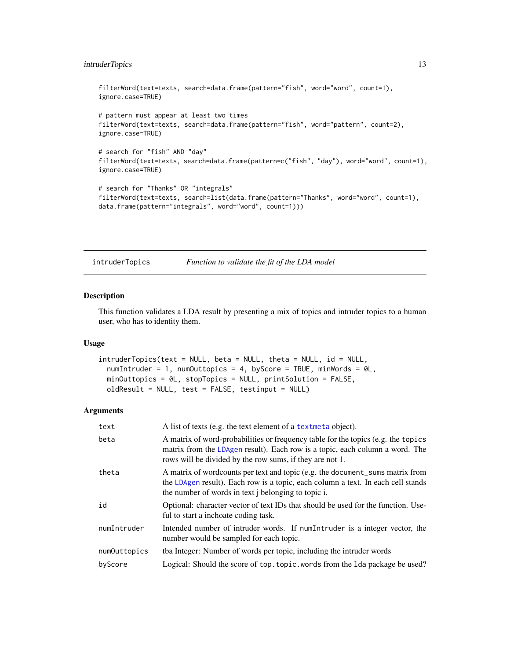# <span id="page-12-0"></span>intruderTopics 13

```
filterWord(text=texts, search=data.frame(pattern="fish", word="word", count=1),
ignore.case=TRUE)
# pattern must appear at least two times
filterWord(text=texts, search=data.frame(pattern="fish", word="pattern", count=2),
ignore.case=TRUE)
# search for "fish" AND "day"
filterWord(text=texts, search=data.frame(pattern=c("fish", "day"), word="word", count=1),
ignore.case=TRUE)
# search for "Thanks" OR "integrals"
filterWord(text=texts, search=list(data.frame(pattern="Thanks", word="word", count=1),
data.frame(pattern="integrals", word="word", count=1)))
```
intruderTopics *Function to validate the fit of the LDA model*

#### Description

This function validates a LDA result by presenting a mix of topics and intruder topics to a human user, who has to identity them.

# Usage

```
intruderTopics(text = NULL, beta = NULL, theta = NULL, id = NULL,
  numIntruder = 1, numOuttopics = 4, byScore = TRUE, minWords = 0L,
 minOuttopics = 0L, stopTopics = NULL, printSolution = FALSE,
 oldResult = NULL, test = FALSE, testinput = NULL)
```

| text         | A list of texts (e.g. the text element of a text meta object).                                                                                                                                                                          |
|--------------|-----------------------------------------------------------------------------------------------------------------------------------------------------------------------------------------------------------------------------------------|
| beta         | A matrix of word-probabilities or frequency table for the topics (e.g. the topics<br>matrix from the LDAgen result). Each row is a topic, each column a word. The<br>rows will be divided by the row sums, if they are not 1.           |
| theta        | A matrix of wordcounts per text and topic (e.g. the document_sums matrix from<br>the LDAgen result). Each row is a topic, each column a text. In each cell stands<br>the number of words in text <i>j</i> belonging to topic <i>i</i> . |
| id           | Optional: character vector of text IDs that should be used for the function. Use-<br>ful to start a inchoate coding task.                                                                                                               |
| numIntruder  | Intended number of intruder words. If numIntruder is a integer vector, the<br>number would be sampled for each topic.                                                                                                                   |
| numOuttopics | the Integer: Number of words per topic, including the intruder words                                                                                                                                                                    |
| byScore      | Logical: Should the score of top. topic. words from the 1da package be used?                                                                                                                                                            |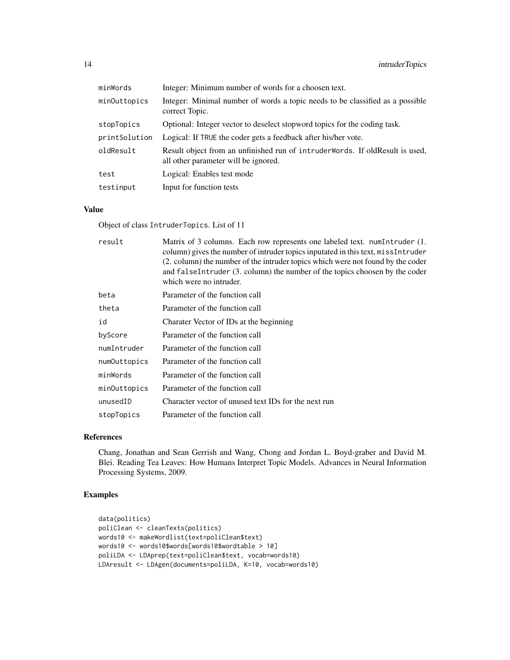| minWords      | Integer: Minimum number of words for a choosen text.                                                                 |
|---------------|----------------------------------------------------------------------------------------------------------------------|
| minOuttopics  | Integer: Minimal number of words a topic needs to be classified as a possible<br>correct Topic.                      |
| stopTopics    | Optional: Integer vector to deselect stopword topics for the coding task.                                            |
| printSolution | Logical: If TRUE the coder gets a feedback after his/her vote.                                                       |
| oldResult     | Result object from an unfinished run of intruderWords. If oldResult is used,<br>all other parameter will be ignored. |
| test          | Logical: Enables test mode                                                                                           |
| testinput     | Input for function tests                                                                                             |

# Value

Object of class IntruderTopics. List of 11

| result       | Matrix of 3 columns. Each row represents one labeled text. numIntruder (1.<br>column) gives the number of intruder topics inputated in this text, missIntruder<br>(2. column) the number of the intruder topics which were not found by the coder<br>and falseIntruder (3. column) the number of the topics choosen by the coder<br>which were no intruder. |
|--------------|-------------------------------------------------------------------------------------------------------------------------------------------------------------------------------------------------------------------------------------------------------------------------------------------------------------------------------------------------------------|
| beta         | Parameter of the function call                                                                                                                                                                                                                                                                                                                              |
| theta        | Parameter of the function call                                                                                                                                                                                                                                                                                                                              |
| id           | Charater Vector of IDs at the beginning                                                                                                                                                                                                                                                                                                                     |
| byScore      | Parameter of the function call                                                                                                                                                                                                                                                                                                                              |
| numIntruder  | Parameter of the function call                                                                                                                                                                                                                                                                                                                              |
| numOuttopics | Parameter of the function call                                                                                                                                                                                                                                                                                                                              |
| minWords     | Parameter of the function call                                                                                                                                                                                                                                                                                                                              |
| minOuttopics | Parameter of the function call                                                                                                                                                                                                                                                                                                                              |
| unusedID     | Character vector of unused text IDs for the next run                                                                                                                                                                                                                                                                                                        |
| stopTopics   | Parameter of the function call                                                                                                                                                                                                                                                                                                                              |
|              |                                                                                                                                                                                                                                                                                                                                                             |

# References

Chang, Jonathan and Sean Gerrish and Wang, Chong and Jordan L. Boyd-graber and David M. Blei. Reading Tea Leaves: How Humans Interpret Topic Models. Advances in Neural Information Processing Systems, 2009.

# Examples

```
data(politics)
poliClean <- cleanTexts(politics)
words10 <- makeWordlist(text=poliClean$text)
words10 <- words10$words[words10$wordtable > 10]
poliLDA <- LDAprep(text=poliClean$text, vocab=words10)
LDAresult <- LDAgen(documents=poliLDA, K=10, vocab=words10)
```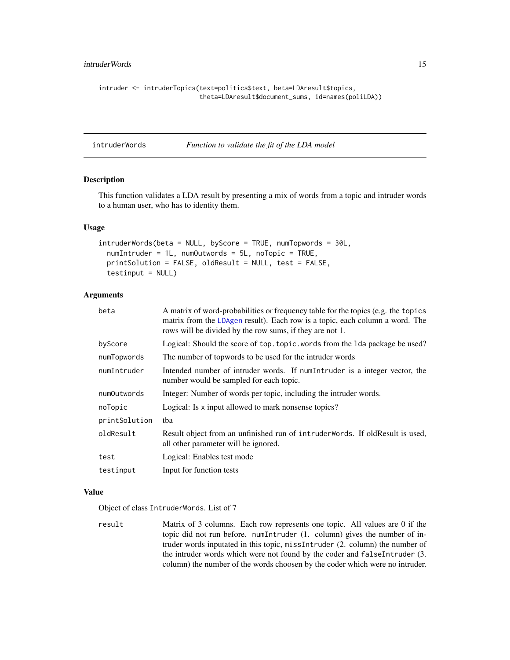# <span id="page-14-0"></span>intruderWords 15

```
intruder <- intruderTopics(text=politics$text, beta=LDAresult$topics,
                           theta=LDAresult$document_sums, id=names(poliLDA))
```
intruderWords *Function to validate the fit of the LDA model*

#### Description

This function validates a LDA result by presenting a mix of words from a topic and intruder words to a human user, who has to identity them.

#### Usage

```
intruderWords(beta = NULL, byScore = TRUE, numTopwords = 30L,
 numIntruder = 1L, numOutwords = 5L, noTopic = TRUE,
 printSolution = FALSE, oldResult = NULL, test = FALSE,
  testinput = NULL)
```
#### Arguments

| beta          | A matrix of word-probabilities or frequency table for the topics (e.g. the topics<br>matrix from the LDAgen result). Each row is a topic, each column a word. The<br>rows will be divided by the row sums, if they are not 1. |
|---------------|-------------------------------------------------------------------------------------------------------------------------------------------------------------------------------------------------------------------------------|
| byScore       | Logical: Should the score of top. topic. words from the 1da package be used?                                                                                                                                                  |
| numTopwords   | The number of topwords to be used for the intruder words                                                                                                                                                                      |
| numIntruder   | Intended number of intruder words. If numIntruder is a integer vector, the<br>number would be sampled for each topic.                                                                                                         |
| numOutwords   | Integer: Number of words per topic, including the intruder words.                                                                                                                                                             |
| noTopic       | Logical: Is x input allowed to mark nonsense topics?                                                                                                                                                                          |
| printSolution | tha                                                                                                                                                                                                                           |
| oldResult     | Result object from an unfinished run of intruderWords. If oldResult is used,<br>all other parameter will be ignored.                                                                                                          |
| test          | Logical: Enables test mode                                                                                                                                                                                                    |
| testinput     | Input for function tests                                                                                                                                                                                                      |

#### Value

Object of class IntruderWords. List of 7

result Matrix of 3 columns. Each row represents one topic. All values are 0 if the topic did not run before. numIntruder (1. column) gives the number of intruder words inputated in this topic, missIntruder (2. column) the number of the intruder words which were not found by the coder and falseIntruder (3. column) the number of the words choosen by the coder which were no intruder.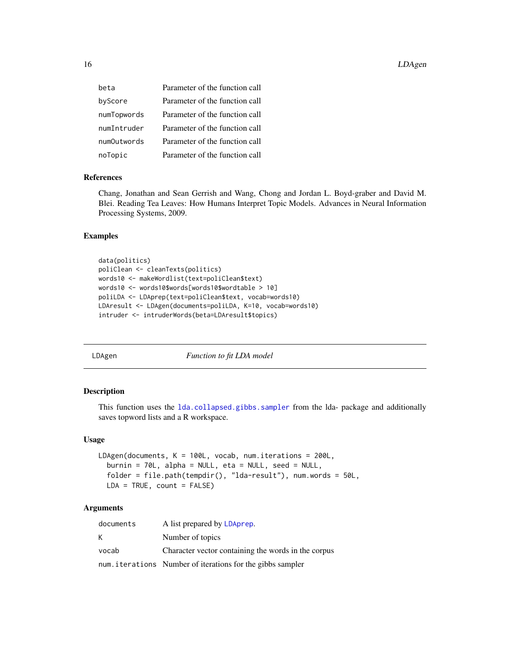<span id="page-15-0"></span>

| beta        | Parameter of the function call |
|-------------|--------------------------------|
| byScore     | Parameter of the function call |
| numTopwords | Parameter of the function call |
| numIntruder | Parameter of the function call |
| numOutwords | Parameter of the function call |
| noTopic     | Parameter of the function call |

#### References

Chang, Jonathan and Sean Gerrish and Wang, Chong and Jordan L. Boyd-graber and David M. Blei. Reading Tea Leaves: How Humans Interpret Topic Models. Advances in Neural Information Processing Systems, 2009.

#### Examples

```
data(politics)
poliClean <- cleanTexts(politics)
words10 <- makeWordlist(text=poliClean$text)
words10 <- words10$words[words10$wordtable > 10]
poliLDA <- LDAprep(text=poliClean$text, vocab=words10)
LDAresult <- LDAgen(documents=poliLDA, K=10, vocab=words10)
intruder <- intruderWords(beta=LDAresult$topics)
```
<span id="page-15-1"></span>

LDAgen *Function to fit LDA model*

#### Description

This function uses the [lda.collapsed.gibbs.sampler](#page-0-0) from the lda- package and additionally saves topword lists and a R workspace.

#### Usage

```
LDAgen(documents, K = 100L, vocab, num.iterations = 200L,
 burnin = 70L, alpha = NULL, eta = NULL, seed = NULL,
  folder = file.path(tempdir(), "lda-result"), num.words = 50L,
 LDA = TRUE, count = FALSE)
```

| documents | A list prepared by LDAprep.                               |
|-----------|-----------------------------------------------------------|
| К         | Number of topics                                          |
| vocab     | Character vector containing the words in the corpus       |
|           | num.iterations Number of iterations for the gibbs sampler |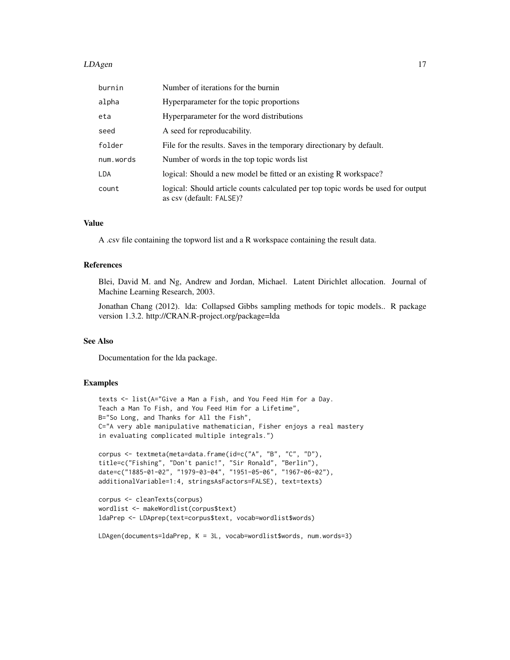#### **LDAgen** 17

| burnin     | Number of iterations for the burnin                                                                          |
|------------|--------------------------------------------------------------------------------------------------------------|
| alpha      | Hyperparameter for the topic proportions                                                                     |
| eta        | Hyperparameter for the word distributions                                                                    |
| seed       | A seed for reproducability.                                                                                  |
| folder     | File for the results. Saves in the temporary directionary by default.                                        |
| num.words  | Number of words in the top topic words list                                                                  |
| <b>LDA</b> | logical: Should a new model be fitted or an existing R workspace?                                            |
| count      | logical: Should article counts calculated per top topic words be used for output<br>as csv (default: FALSE)? |

#### Value

A .csv file containing the topword list and a R workspace containing the result data.

#### References

Blei, David M. and Ng, Andrew and Jordan, Michael. Latent Dirichlet allocation. Journal of Machine Learning Research, 2003.

Jonathan Chang (2012). lda: Collapsed Gibbs sampling methods for topic models.. R package version 1.3.2. http://CRAN.R-project.org/package=lda

#### See Also

Documentation for the lda package.

#### Examples

```
texts <- list(A="Give a Man a Fish, and You Feed Him for a Day.
Teach a Man To Fish, and You Feed Him for a Lifetime",
B="So Long, and Thanks for All the Fish",
C="A very able manipulative mathematician, Fisher enjoys a real mastery
in evaluating complicated multiple integrals.")
corpus <- textmeta(meta=data.frame(id=c("A", "B", "C", "D"),
title=c("Fishing", "Don't panic!", "Sir Ronald", "Berlin"),
date=c("1885-01-02", "1979-03-04", "1951-05-06", "1967-06-02"),
additionalVariable=1:4, stringsAsFactors=FALSE), text=texts)
```

```
corpus <- cleanTexts(corpus)
wordlist <- makeWordlist(corpus$text)
ldaPrep <- LDAprep(text=corpus$text, vocab=wordlist$words)
```
LDAgen(documents=ldaPrep, K = 3L, vocab=wordlist\$words, num.words=3)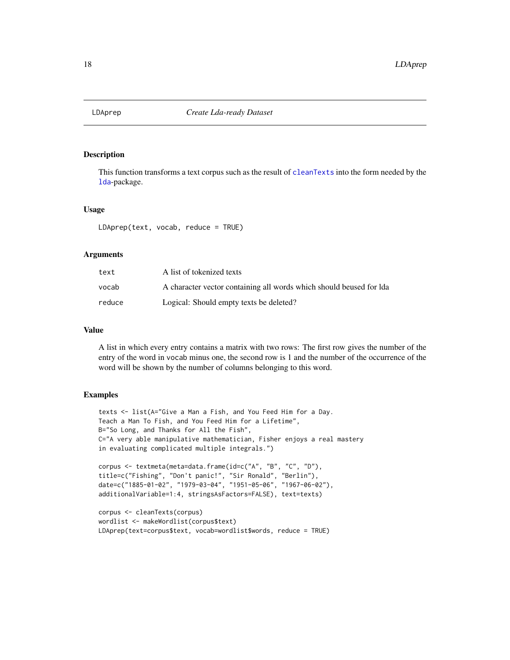<span id="page-17-1"></span><span id="page-17-0"></span>

This function transforms a text corpus such as the result of [cleanTexts](#page-4-1) into the form needed by the [lda](#page-0-0)-package.

#### Usage

LDAprep(text, vocab, reduce = TRUE)

# Arguments

| text   | A list of tokenized texts                                            |
|--------|----------------------------------------------------------------------|
| vocab  | A character vector containing all words which should be used for Ida |
| reduce | Logical: Should empty texts be deleted?                              |

#### Value

A list in which every entry contains a matrix with two rows: The first row gives the number of the entry of the word in vocab minus one, the second row is 1 and the number of the occurrence of the word will be shown by the number of columns belonging to this word.

# Examples

```
texts <- list(A="Give a Man a Fish, and You Feed Him for a Day.
Teach a Man To Fish, and You Feed Him for a Lifetime",
B="So Long, and Thanks for All the Fish",
C="A very able manipulative mathematician, Fisher enjoys a real mastery
in evaluating complicated multiple integrals.")
corpus <- textmeta(meta=data.frame(id=c("A", "B", "C", "D"),
title=c("Fishing", "Don't panic!", "Sir Ronald", "Berlin"),
date=c("1885-01-02", "1979-03-04", "1951-05-06", "1967-06-02"),
additionalVariable=1:4, stringsAsFactors=FALSE), text=texts)
corpus <- cleanTexts(corpus)
wordlist <- makeWordlist(corpus$text)
```
LDAprep(text=corpus\$text, vocab=wordlist\$words, reduce = TRUE)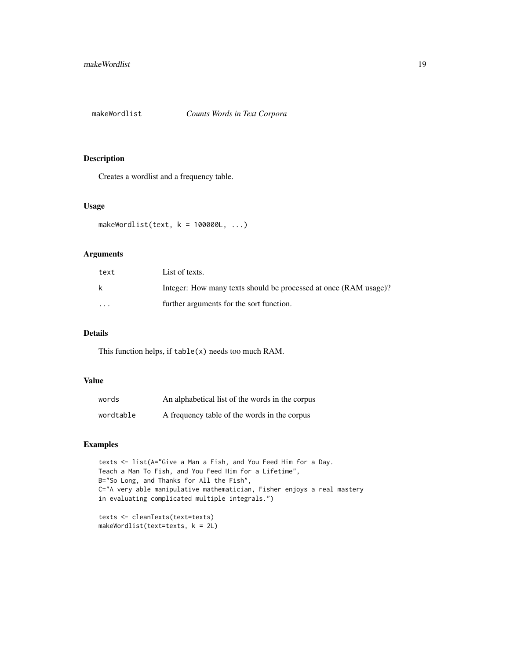<span id="page-18-0"></span>

Creates a wordlist and a frequency table.

#### Usage

```
makeWordlist(text, k = 100000L, ...)
```
# Arguments

| text     | List of texts.                                                   |
|----------|------------------------------------------------------------------|
| k        | Integer: How many texts should be processed at once (RAM usage)? |
| $\cdots$ | further arguments for the sort function.                         |

# Details

This function helps, if table(x) needs too much RAM.

# Value

| words     | An alphabetical list of the words in the corpus |
|-----------|-------------------------------------------------|
| wordtable | A frequency table of the words in the corpus    |

# Examples

texts <- list(A="Give a Man a Fish, and You Feed Him for a Day. Teach a Man To Fish, and You Feed Him for a Lifetime", B="So Long, and Thanks for All the Fish", C="A very able manipulative mathematician, Fisher enjoys a real mastery in evaluating complicated multiple integrals.")

```
texts <- cleanTexts(text=texts)
makeWordlist(text=texts, k = 2L)
```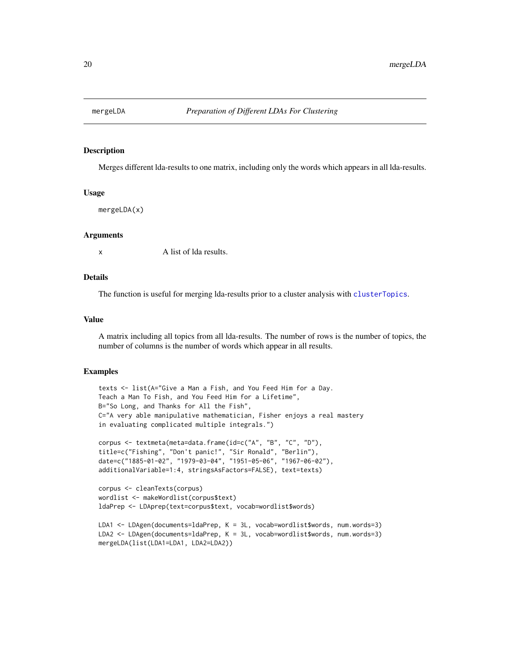<span id="page-19-0"></span>

Merges different lda-results to one matrix, including only the words which appears in all lda-results.

#### Usage

mergeLDA(x)

#### **Arguments**

x A list of lda results.

#### Details

The function is useful for merging lda-results prior to a cluster analysis with [clusterTopics](#page-5-1).

#### Value

A matrix including all topics from all lda-results. The number of rows is the number of topics, the number of columns is the number of words which appear in all results.

#### Examples

```
texts <- list(A="Give a Man a Fish, and You Feed Him for a Day.
Teach a Man To Fish, and You Feed Him for a Lifetime",
B="So Long, and Thanks for All the Fish",
C="A very able manipulative mathematician, Fisher enjoys a real mastery
in evaluating complicated multiple integrals.")
corpus <- textmeta(meta=data.frame(id=c("A", "B", "C", "D"),
title=c("Fishing", "Don't panic!", "Sir Ronald", "Berlin"),
date=c("1885-01-02", "1979-03-04", "1951-05-06", "1967-06-02"),
additionalVariable=1:4, stringsAsFactors=FALSE), text=texts)
corpus <- cleanTexts(corpus)
wordlist <- makeWordlist(corpus$text)
ldaPrep <- LDAprep(text=corpus$text, vocab=wordlist$words)
LDA1 <- LDAgen(documents=ldaPrep, K = 3L, vocab=wordlist$words, num.words=3)
```

```
LDA2 <- LDAgen(documents=ldaPrep, K = 3L, vocab=wordlist$words, num.words=3)
mergeLDA(list(LDA1=LDA1, LDA2=LDA2))
```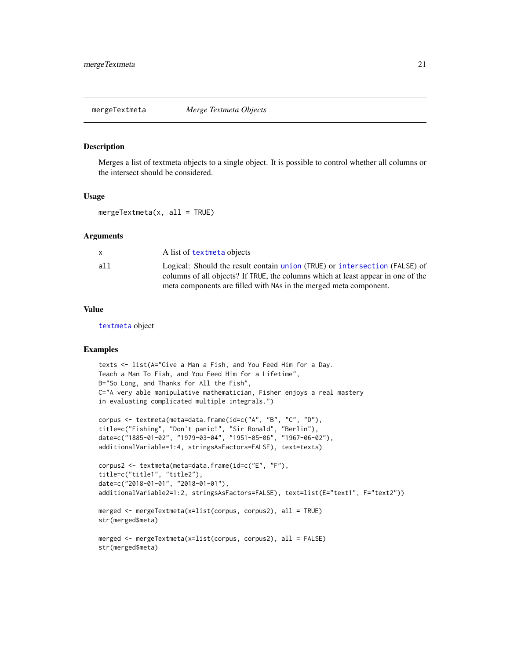<span id="page-20-0"></span>mergeTextmeta *Merge Textmeta Objects*

# Description

Merges a list of textmeta objects to a single object. It is possible to control whether all columns or the intersect should be considered.

#### Usage

mergeTextmeta( $x$ , all = TRUE)

#### Arguments

|     | A list of textmeta objects                                                       |
|-----|----------------------------------------------------------------------------------|
| all | Logical: Should the result contain union (TRUE) or intersection (FALSE) of       |
|     | columns of all objects? If TRUE, the columns which at least appear in one of the |
|     | meta components are filled with NAs in the merged meta component.                |

#### Value

[textmeta](#page-40-1) object

#### Examples

```
texts <- list(A="Give a Man a Fish, and You Feed Him for a Day.
Teach a Man To Fish, and You Feed Him for a Lifetime",
B="So Long, and Thanks for All the Fish",
C="A very able manipulative mathematician, Fisher enjoys a real mastery
in evaluating complicated multiple integrals.")
```

```
corpus <- textmeta(meta=data.frame(id=c("A", "B", "C", "D"),
title=c("Fishing", "Don't panic!", "Sir Ronald", "Berlin"),
date=c("1885-01-02", "1979-03-04", "1951-05-06", "1967-06-02"),
additionalVariable=1:4, stringsAsFactors=FALSE), text=texts)
```

```
corpus2 <- textmeta(meta=data.frame(id=c("E", "F"),
title=c("title1", "title2"),
date=c("2018-01-01", "2018-01-01"),
additionalVariable2=1:2, stringsAsFactors=FALSE), text=list(E="text1", F="text2"))
```

```
merged <- mergeTextmeta(x=list(corpus, corpus2), all = TRUE)
str(merged$meta)
```

```
merged <- mergeTextmeta(x=list(corpus, corpus2), all = FALSE)
str(merged$meta)
```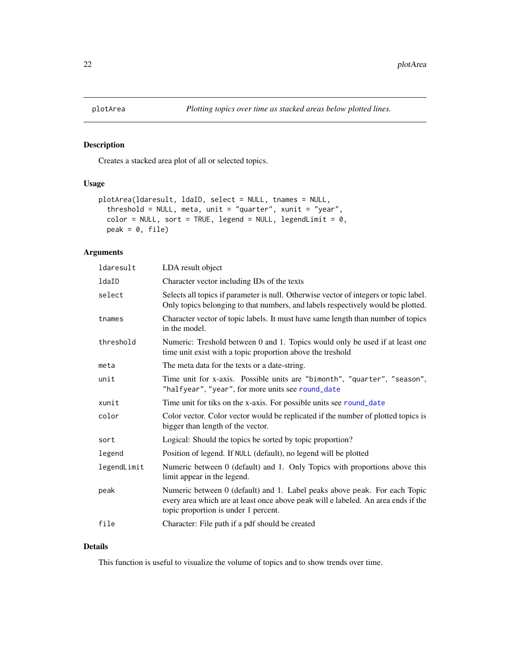<span id="page-21-0"></span>

Creates a stacked area plot of all or selected topics.

# Usage

```
plotArea(ldaresult, ldaID, select = NULL, tnames = NULL,
  threshold = NULL, meta, unit = "quarter", xunit = "year",
  color = NULL, sort = TRUE, legend = NULL, legendLimit = 0,
 peak = 0, file)
```
# Arguments

| ldaresult   | LDA result object                                                                                                                                                                                      |
|-------------|--------------------------------------------------------------------------------------------------------------------------------------------------------------------------------------------------------|
| ldaID       | Character vector including IDs of the texts                                                                                                                                                            |
| select      | Selects all topics if parameter is null. Otherwise vector of integers or topic label.<br>Only topics belonging to that numbers, and labels respectively would be plotted.                              |
| tnames      | Character vector of topic labels. It must have same length than number of topics<br>in the model.                                                                                                      |
| threshold   | Numeric: Treshold between 0 and 1. Topics would only be used if at least one<br>time unit exist with a topic proportion above the treshold                                                             |
| meta        | The meta data for the texts or a date-string.                                                                                                                                                          |
| unit        | Time unit for x-axis. Possible units are "bimonth", "quarter", "season",<br>"halfyear", "year", for more units see round_date                                                                          |
| xunit       | Time unit for tiks on the x-axis. For possible units see round_date                                                                                                                                    |
| color       | Color vector. Color vector would be replicated if the number of plotted topics is<br>bigger than length of the vector.                                                                                 |
| sort        | Logical: Should the topics be sorted by topic proportion?                                                                                                                                              |
| legend      | Position of legend. If NULL (default), no legend will be plotted                                                                                                                                       |
| legendLimit | Numeric between 0 (default) and 1. Only Topics with proportions above this<br>limit appear in the legend.                                                                                              |
| peak        | Numeric between 0 (default) and 1. Label peaks above peak. For each Topic<br>every area which are at least once above peak will e labeled. An area ends if the<br>topic proportion is under 1 percent. |
| file        | Character: File path if a pdf should be created                                                                                                                                                        |
|             |                                                                                                                                                                                                        |

# Details

This function is useful to visualize the volume of topics and to show trends over time.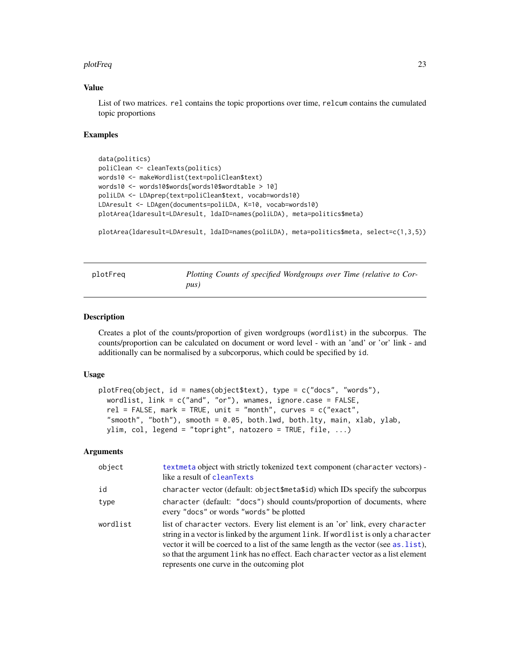#### <span id="page-22-0"></span>plotFreq 23

# Value

List of two matrices. rel contains the topic proportions over time, relcum contains the cumulated topic proportions

#### Examples

```
data(politics)
poliClean <- cleanTexts(politics)
words10 <- makeWordlist(text=poliClean$text)
words10 <- words10$words[words10$wordtable > 10]
poliLDA <- LDAprep(text=poliClean$text, vocab=words10)
LDAresult <- LDAgen(documents=poliLDA, K=10, vocab=words10)
plotArea(ldaresult=LDAresult, ldaID=names(poliLDA), meta=politics$meta)
```

```
plotArea(ldaresult=LDAresult, ldaID=names(poliLDA), meta=politics$meta, select=c(1,3,5))
```

| plotFreq | Plotting Counts of specified Wordgroups over Time (relative to Cor- |
|----------|---------------------------------------------------------------------|
|          | pus)                                                                |

# Description

Creates a plot of the counts/proportion of given wordgroups (wordlist) in the subcorpus. The counts/proportion can be calculated on document or word level - with an 'and' or 'or' link - and additionally can be normalised by a subcorporus, which could be specified by id.

#### Usage

```
plotFreq(object, id = names(object$text), type = c("docs", "words"),wordlist, link = c("and", "or"), wnames, ignore.case = FALSE,
  rel = FALSE, mark = TRUE, unit = "month", curves = c("exact",
  "smooth", "both"), smooth = 0.05, both.lwd, both.lty, main, xlab, ylab,
 ylim, col, legend = "topright", natozero = TRUE, file, ...)
```

| object   | textmeta object with strictly tokenized text component (character vectors) -<br>like a result of cleanTexts                                                                                                                                                                                                                                                                                     |
|----------|-------------------------------------------------------------------------------------------------------------------------------------------------------------------------------------------------------------------------------------------------------------------------------------------------------------------------------------------------------------------------------------------------|
| id       | character vector (default: object\$meta\$id) which IDs specify the subcorpus                                                                                                                                                                                                                                                                                                                    |
| type     | character (default: "docs") should counts/proportion of documents, where<br>every "docs" or words "words" be plotted                                                                                                                                                                                                                                                                            |
| wordlist | list of character vectors. Every list element is an 'or' link, every character<br>string in a vector is linked by the argument link. If wordlist is only a character<br>vector it will be coerced to a list of the same length as the vector (see as . list),<br>so that the argument link has no effect. Each character vector as a list element<br>represents one curve in the outcoming plot |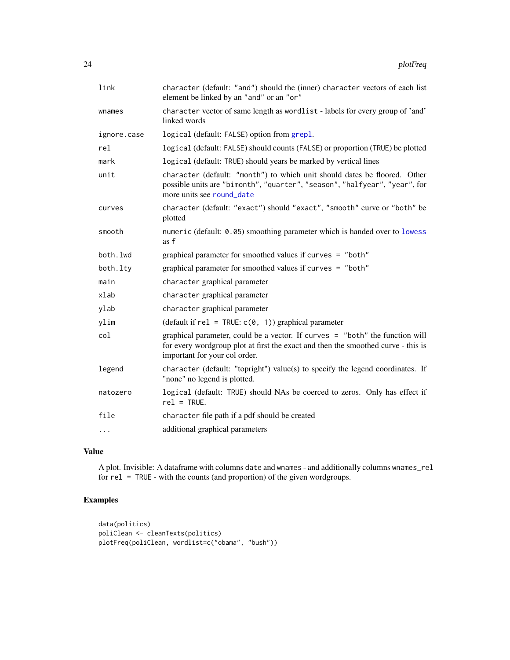<span id="page-23-0"></span>

| link        | character (default: "and") should the (inner) character vectors of each list<br>element be linked by an "and" or an "or"                                                                           |
|-------------|----------------------------------------------------------------------------------------------------------------------------------------------------------------------------------------------------|
| wnames      | character vector of same length as wordlist - labels for every group of 'and'<br>linked words                                                                                                      |
| ignore.case | logical (default: FALSE) option from grepl.                                                                                                                                                        |
| rel         | logical (default: FALSE) should counts (FALSE) or proportion (TRUE) be plotted                                                                                                                     |
| mark        | logical (default: TRUE) should years be marked by vertical lines                                                                                                                                   |
| unit        | character (default: "month") to which unit should dates be floored. Other<br>possible units are "bimonth", "quarter", "season", "halfyear", "year", for<br>more units see round date               |
| curves      | character (default: "exact") should "exact", "smooth" curve or "both" be<br>plotted                                                                                                                |
| smooth      | numeric (default: 0.05) smoothing parameter which is handed over to lowess<br>as f                                                                                                                 |
| both.lwd    | graphical parameter for smoothed values if curves = "both"                                                                                                                                         |
| both.lty    | graphical parameter for smoothed values if curves = "both"                                                                                                                                         |
| main        | character graphical parameter                                                                                                                                                                      |
| xlab        | character graphical parameter                                                                                                                                                                      |
| ylab        | character graphical parameter                                                                                                                                                                      |
| vlim        | (default if $rel = TRUE: c(0, 1)$ ) graphical parameter                                                                                                                                            |
| col         | graphical parameter, could be a vector. If curves = "both" the function will<br>for every wordgroup plot at first the exact and then the smoothed curve - this is<br>important for your col order. |
| legend      | character (default: "topright") value(s) to specify the legend coordinates. If<br>"none" no legend is plotted.                                                                                     |
| natozero    | logical (default: TRUE) should NAs be coerced to zeros. Only has effect if<br>$rel = TRUE.$                                                                                                        |
| file        | character file path if a pdf should be created                                                                                                                                                     |
| .           | additional graphical parameters                                                                                                                                                                    |

# Value

A plot. Invisible: A dataframe with columns date and wnames - and additionally columns wnames\_rel for rel = TRUE - with the counts (and proportion) of the given wordgroups.

# Examples

```
data(politics)
poliClean <- cleanTexts(politics)
plotFreq(poliClean, wordlist=c("obama", "bush"))
```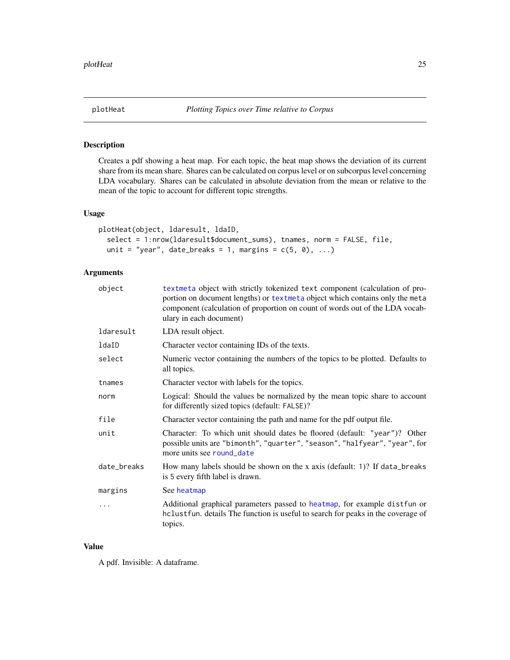<span id="page-24-0"></span>

Creates a pdf showing a heat map. For each topic, the heat map shows the deviation of its current share from its mean share. Shares can be calculated on corpus level or on subcorpus level concerning LDA vocabulary. Shares can be calculated in absolute deviation from the mean or relative to the mean of the topic to account for different topic strengths.

#### Usage

```
plotHeat(object, ldaresult, ldaID,
  select = 1:nrow(ldaresult$document_sums), tnames, norm = FALSE, file,
 unit = "year", date_breaks = 1, margins = c(5, 0), ...)
```
# Arguments

| object      | textmeta object with strictly tokenized text component (calculation of pro-<br>portion on document lengths) or textmeta object which contains only the meta<br>component (calculation of proportion on count of words out of the LDA vocab-<br>ulary in each document) |
|-------------|------------------------------------------------------------------------------------------------------------------------------------------------------------------------------------------------------------------------------------------------------------------------|
| ldaresult   | LDA result object.                                                                                                                                                                                                                                                     |
| ldaID       | Character vector containing IDs of the texts.                                                                                                                                                                                                                          |
| select      | Numeric vector containing the numbers of the topics to be plotted. Defaults to<br>all topics.                                                                                                                                                                          |
| tnames      | Character vector with labels for the topics.                                                                                                                                                                                                                           |
| norm        | Logical: Should the values be normalized by the mean topic share to account<br>for differently sized topics (default: FALSE)?                                                                                                                                          |
| file        | Character vector containing the path and name for the pdf output file.                                                                                                                                                                                                 |
| unit        | Character: To which unit should dates be floored (default: "year")? Other<br>possible units are "bimonth", "quarter", "season", "halfyear", "year", for<br>more units see round_date                                                                                   |
| date_breaks | How many labels should be shown on the x axis (default: 1)? If data_breaks<br>is 5 every fifth label is drawn.                                                                                                                                                         |
| margins     | See heatmap                                                                                                                                                                                                                                                            |
| .           | Additional graphical parameters passed to heatmap, for example distfun or<br>hclustfun. details The function is useful to search for peaks in the coverage of<br>topics.                                                                                               |

# Value

A pdf. Invisible: A dataframe.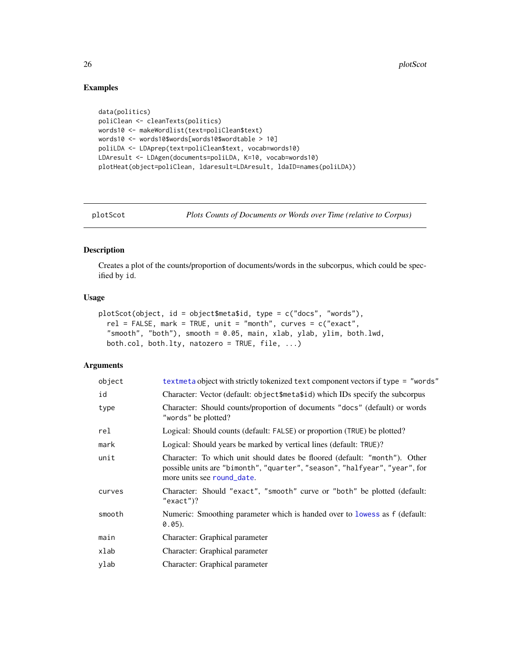# Examples

```
data(politics)
poliClean <- cleanTexts(politics)
words10 <- makeWordlist(text=poliClean$text)
words10 <- words10$words[words10$wordtable > 10]
poliLDA <- LDAprep(text=poliClean$text, vocab=words10)
LDAresult <- LDAgen(documents=poliLDA, K=10, vocab=words10)
plotHeat(object=poliClean, ldaresult=LDAresult, ldaID=names(poliLDA))
```
plotScot *Plots Counts of Documents or Words over Time (relative to Corpus)*

#### Description

Creates a plot of the counts/proportion of documents/words in the subcorpus, which could be specified by id.

# Usage

```
plotScot(object, id = object$meta$id, type = c("docs", "words"),
  rel = FALSE, mark = TRUE, unit = "month", curves = c("exact",
  "smooth", "both"), smooth = 0.05, main, xlab, ylab, ylim, both.lwd,
 both.col, both.lty, natozero = TRUE, file, ...)
```

| object | textmeta object with strictly tokenized text component vectors if type = "words"                                                                                                       |
|--------|----------------------------------------------------------------------------------------------------------------------------------------------------------------------------------------|
| id     | Character: Vector (default: object\$meta\$id) which IDs specify the subcorpus                                                                                                          |
| type   | Character: Should counts/proportion of documents "docs" (default) or words<br>"words" be plotted?                                                                                      |
| rel    | Logical: Should counts (default: FALSE) or proportion (TRUE) be plotted?                                                                                                               |
| mark   | Logical: Should years be marked by vertical lines (default: TRUE)?                                                                                                                     |
| unit   | Character: To which unit should dates be floored (default: "month"). Other<br>possible units are "bimonth", "quarter", "season", "halfyear", "year", for<br>more units see round_date. |
| curves | Character: Should "exact", "smooth" curve or "both" be plotted (default:<br>" $exact$ ")?                                                                                              |
| smooth | Numeric: Smoothing parameter which is handed over to lowess as f (default:<br>$0.05$ ).                                                                                                |
| main   | Character: Graphical parameter                                                                                                                                                         |
| xlab   | Character: Graphical parameter                                                                                                                                                         |
| ylab   | Character: Graphical parameter                                                                                                                                                         |

<span id="page-25-0"></span>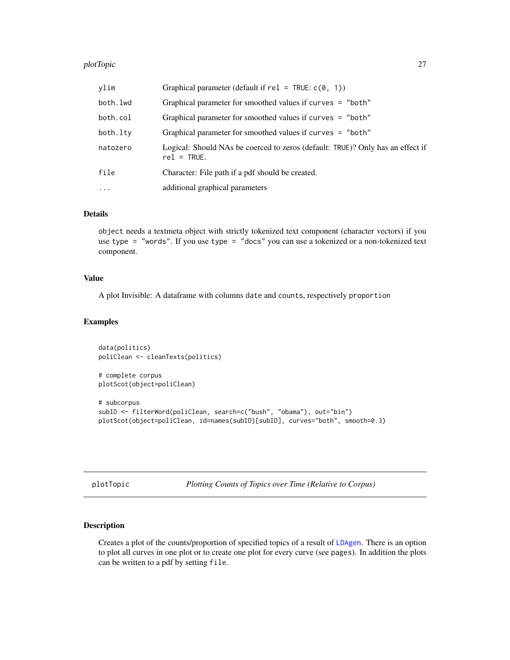#### <span id="page-26-0"></span>plotTopic 27 and 27 and 27 and 27 and 27 and 27 and 27 and 27 and 27 and 27 and 27 and 27 and 27 and 27 and 27

| ylim      | Graphical parameter (default if $rel = TRUE$ : $c(0, 1)$ )                                      |
|-----------|-------------------------------------------------------------------------------------------------|
| both.lwd  | Graphical parameter for smoothed values if curves = "both"                                      |
| both.col  | Graphical parameter for smoothed values if curves = "both"                                      |
| both.lty  | Graphical parameter for smoothed values if curves = "both"                                      |
| natozero  | Logical: Should NAs be coerced to zeros (default: TRUE)? Only has an effect if<br>$rel = TRUE.$ |
| file      | Character: File path if a pdf should be created.                                                |
| $\ddotsc$ | additional graphical parameters                                                                 |

# Details

object needs a textmeta object with strictly tokenized text component (character vectors) if you use type = "words". If you use type = "docs" you can use a tokenized or a non-tokenized text component.

# Value

A plot Invisible: A dataframe with columns date and counts, respectively proportion

# Examples

```
data(politics)
poliClean <- cleanTexts(politics)
# complete corpus
plotScot(object=poliClean)
# subcorpus
subID <- filterWord(poliClean, search=c("bush", "obama"), out="bin")
plotScot(object=poliClean, id=names(subID)[subID], curves="both", smooth=0.3)
```
plotTopic *Plotting Counts of Topics over Time (Relative to Corpus)*

### Description

Creates a plot of the counts/proportion of specified topics of a result of [LDAgen](#page-15-1). There is an option to plot all curves in one plot or to create one plot for every curve (see pages). In addition the plots can be written to a pdf by setting file.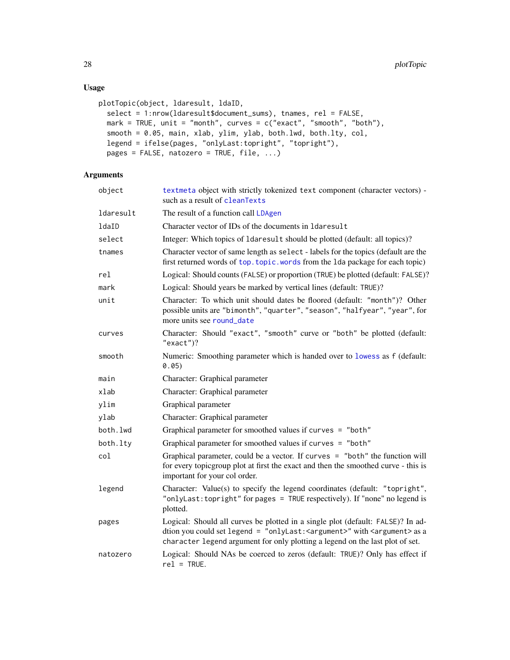# Usage

```
plotTopic(object, ldaresult, ldaID,
  select = 1:nrow(ldaresult$document_sums), tnames, rel = FALSE,
 mark = TRUE, unit = "month", curves = c("exact", "smooth", "both"),
  smooth = 0.05, main, xlab, ylim, ylab, both.lwd, both.lty, col,
  legend = ifelse(pages, "onlyLast:topright", "topright"),
 pages = FALSE, natozero = TRUE, file, ...)
```

| object    | textmeta object with strictly tokenized text component (character vectors) -<br>such as a result of cleanTexts                                                                                                                                 |
|-----------|------------------------------------------------------------------------------------------------------------------------------------------------------------------------------------------------------------------------------------------------|
| ldaresult | The result of a function call LDAgen                                                                                                                                                                                                           |
| ldaID     | Character vector of IDs of the documents in 1daresult                                                                                                                                                                                          |
| select    | Integer: Which topics of 1daresu1t should be plotted (default: all topics)?                                                                                                                                                                    |
| tnames    | Character vector of same length as select - labels for the topics (default are the<br>first returned words of top. topic. words from the 1da package for each topic)                                                                           |
| rel       | Logical: Should counts (FALSE) or proportion (TRUE) be plotted (default: FALSE)?                                                                                                                                                               |
| mark      | Logical: Should years be marked by vertical lines (default: TRUE)?                                                                                                                                                                             |
| unit      | Character: To which unit should dates be floored (default: "month")? Other<br>possible units are "bimonth", "quarter", "season", "halfyear", "year", for<br>more units see round date                                                          |
| curves    | Character: Should "exact", "smooth" curve or "both" be plotted (default:<br>$"exact")$ ?                                                                                                                                                       |
| smooth    | Numeric: Smoothing parameter which is handed over to lowess as f (default:<br>0.05)                                                                                                                                                            |
| main      | Character: Graphical parameter                                                                                                                                                                                                                 |
| xlab      | Character: Graphical parameter                                                                                                                                                                                                                 |
| ylim      | Graphical parameter                                                                                                                                                                                                                            |
| ylab      | Character: Graphical parameter                                                                                                                                                                                                                 |
| both.lwd  | Graphical parameter for smoothed values if curves = "both"                                                                                                                                                                                     |
| both.lty  | Graphical parameter for smoothed values if curves = "both"                                                                                                                                                                                     |
| col       | Graphical parameter, could be a vector. If curves = "both" the function will<br>for every topicgroup plot at first the exact and then the smoothed curve - this is<br>important for your col order.                                            |
| legend    | Character: Value(s) to specify the legend coordinates (default: "topright",<br>"onlyLast: topright" for pages = TRUE respectively). If "none" no legend is<br>plotted.                                                                         |
| pages     | Logical: Should all curves be plotted in a single plot (default: FALSE)? In ad-<br>dtion you could set legend = "onlyLast: < argument>" with < argument> as a<br>character legend argument for only plotting a legend on the last plot of set. |
| natozero  | Logical: Should NAs be coerced to zeros (default: TRUE)? Only has effect if<br>$rel = TRUE.$                                                                                                                                                   |

<span id="page-27-0"></span>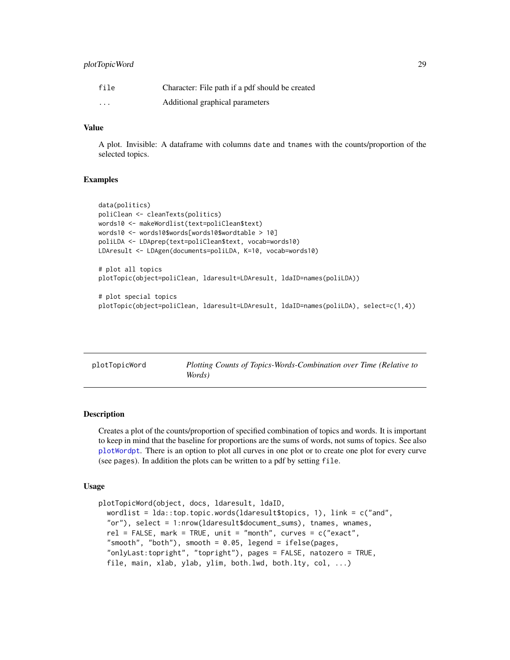# <span id="page-28-0"></span>plotTopicWord 29

| file     | Character: File path if a pdf should be created |
|----------|-------------------------------------------------|
| $\cdots$ | Additional graphical parameters                 |

# Value

A plot. Invisible: A dataframe with columns date and tnames with the counts/proportion of the selected topics.

#### Examples

```
data(politics)
poliClean <- cleanTexts(politics)
words10 <- makeWordlist(text=poliClean$text)
words10 <- words10$words[words10$wordtable > 10]
poliLDA <- LDAprep(text=poliClean$text, vocab=words10)
LDAresult <- LDAgen(documents=poliLDA, K=10, vocab=words10)
# plot all topics
plotTopic(object=poliClean, ldaresult=LDAresult, ldaID=names(poliLDA))
# plot special topics
plotTopic(object=poliClean, ldaresult=LDAresult, ldaID=names(poliLDA), select=c(1,4))
```
<span id="page-28-1"></span>

| plotTopicWord | Plotting Counts of Topics-Words-Combination over Time (Relative to |
|---------------|--------------------------------------------------------------------|
|               | Words)                                                             |

#### **Description**

Creates a plot of the counts/proportion of specified combination of topics and words. It is important to keep in mind that the baseline for proportions are the sums of words, not sums of topics. See also [plotWordpt](#page-30-1). There is an option to plot all curves in one plot or to create one plot for every curve (see pages). In addition the plots can be written to a pdf by setting file.

#### Usage

```
plotTopicWord(object, docs, ldaresult, ldaID,
 wordlist = lda::top.topic.words(ldaresult$topics, 1), link = c("and",
  "or"), select = 1:nrow(ldaresult$document_sums), tnames, wnames,
  rel = FALSE, mark = TRUE, unit = "month", curves = c("exact","smooth", "both"), smooth = 0.05, legend = ifelse(pages,
  "onlyLast:topright", "topright"), pages = FALSE, natozero = TRUE,
  file, main, xlab, ylab, ylim, both.lwd, both.lty, col, ...)
```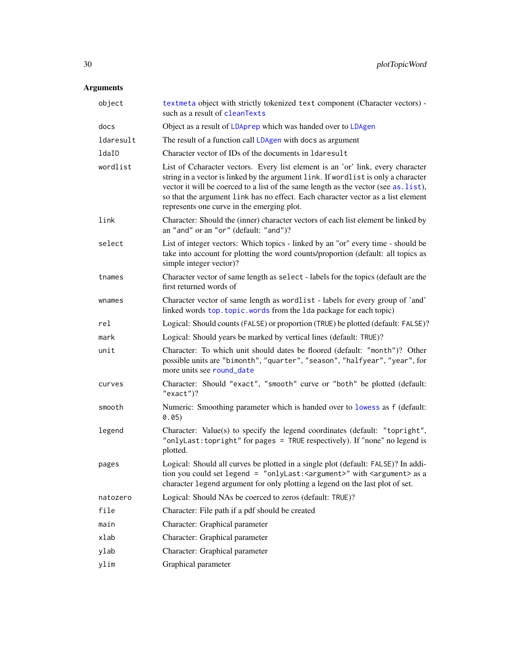<span id="page-29-0"></span>

| object    | textmeta object with strictly tokenized text component (Character vectors) -<br>such as a result of cleanTexts                                                                                                                                                                                                                                                                                  |
|-----------|-------------------------------------------------------------------------------------------------------------------------------------------------------------------------------------------------------------------------------------------------------------------------------------------------------------------------------------------------------------------------------------------------|
| docs      | Object as a result of LDAprep which was handed over to LDAgen                                                                                                                                                                                                                                                                                                                                   |
| ldaresult | The result of a function call LDAgen with docs as argument                                                                                                                                                                                                                                                                                                                                      |
| ldaID     | Character vector of IDs of the documents in 1daresult                                                                                                                                                                                                                                                                                                                                           |
| wordlist  | List of Ccharacter vectors. Every list element is an 'or' link, every character<br>string in a vector is linked by the argument link. If wordlist is only a character<br>vector it will be coerced to a list of the same length as the vector (see as. list),<br>so that the argument link has no effect. Each character vector as a list element<br>represents one curve in the emerging plot. |
| link      | Character: Should the (inner) character vectors of each list element be linked by<br>an "and" or an "or" (default: "and")?                                                                                                                                                                                                                                                                      |
| select    | List of integer vectors: Which topics - linked by an "or" every time - should be<br>take into account for plotting the word counts/proportion (default: all topics as<br>simple integer vector)?                                                                                                                                                                                                |
| tnames    | Character vector of same length as select - labels for the topics (default are the<br>first returned words of                                                                                                                                                                                                                                                                                   |
| wnames    | Character vector of same length as wordlist - labels for every group of 'and'<br>linked words top.topic.words from the 1da package for each topic)                                                                                                                                                                                                                                              |
| rel       | Logical: Should counts (FALSE) or proportion (TRUE) be plotted (default: FALSE)?                                                                                                                                                                                                                                                                                                                |
| mark      | Logical: Should years be marked by vertical lines (default: TRUE)?                                                                                                                                                                                                                                                                                                                              |
| unit      | Character: To which unit should dates be floored (default: "month")? Other<br>possible units are "bimonth", "quarter", "season", "halfyear", "year", for<br>more units see round_date                                                                                                                                                                                                           |
| curves    | Character: Should "exact", "smooth" curve or "both" be plotted (default:<br>$"exact")$ ?                                                                                                                                                                                                                                                                                                        |
| smooth    | Numeric: Smoothing parameter which is handed over to lowess as f (default:<br>0.05)                                                                                                                                                                                                                                                                                                             |
| legend    | Character: Value(s) to specify the legend coordinates (default: "topright",<br>"onlyLast: topright" for pages = TRUE respectively). If "none" no legend is<br>plotted.                                                                                                                                                                                                                          |
| pages     | Logical: Should all curves be plotted in a single plot (default: FALSE)? In addi-<br>tion you could set legend = "onlyLast: < argument>" with < argument> as a<br>character legend argument for only plotting a legend on the last plot of set.                                                                                                                                                 |
| natozero  | Logical: Should NAs be coerced to zeros (default: TRUE)?                                                                                                                                                                                                                                                                                                                                        |
| file      | Character: File path if a pdf should be created                                                                                                                                                                                                                                                                                                                                                 |
| main      | Character: Graphical parameter                                                                                                                                                                                                                                                                                                                                                                  |
| xlab      | Character: Graphical parameter                                                                                                                                                                                                                                                                                                                                                                  |
| ylab      | Character: Graphical parameter                                                                                                                                                                                                                                                                                                                                                                  |
| ylim      | Graphical parameter                                                                                                                                                                                                                                                                                                                                                                             |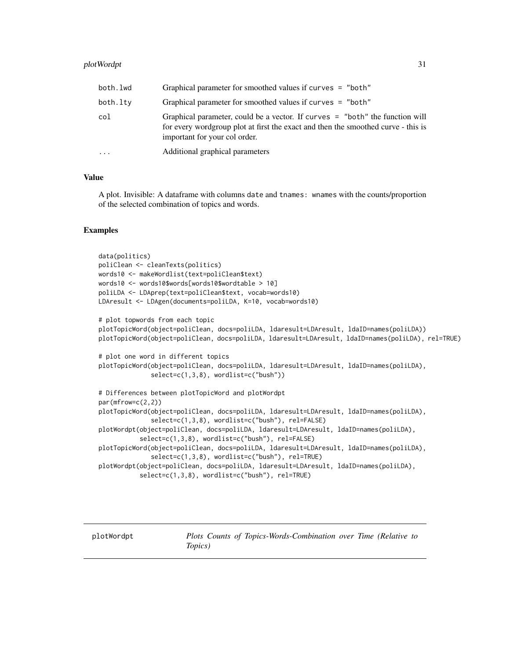# <span id="page-30-0"></span>plotWordpt 31

| both.lwd | Graphical parameter for smoothed values if curves $=$ "both"                                                                                                                                       |
|----------|----------------------------------------------------------------------------------------------------------------------------------------------------------------------------------------------------|
| both.lty | Graphical parameter for smoothed values if curves $=$ "both"                                                                                                                                       |
| col      | Graphical parameter, could be a vector. If curves = "both" the function will<br>for every wordgroup plot at first the exact and then the smoothed curve - this is<br>important for your col order. |
| $\cdots$ | Additional graphical parameters                                                                                                                                                                    |

#### Value

A plot. Invisible: A dataframe with columns date and tnames: wnames with the counts/proportion of the selected combination of topics and words.

#### Examples

```
data(politics)
poliClean <- cleanTexts(politics)
words10 <- makeWordlist(text=poliClean$text)
words10 <- words10$words[words10$wordtable > 10]
poliLDA <- LDAprep(text=poliClean$text, vocab=words10)
LDAresult <- LDAgen(documents=poliLDA, K=10, vocab=words10)
# plot topwords from each topic
plotTopicWord(object=poliClean, docs=poliLDA, ldaresult=LDAresult, ldaID=names(poliLDA))
plotTopicWord(object=poliClean, docs=poliLDA, ldaresult=LDAresult, ldaID=names(poliLDA), rel=TRUE)
# plot one word in different topics
plotTopicWord(object=poliClean, docs=poliLDA, ldaresult=LDAresult, ldaID=names(poliLDA),
              select=c(1,3,8), wordlist=c("bush"))
# Differences between plotTopicWord and plotWordpt
par(mfrow=c(2,2))
plotTopicWord(object=poliClean, docs=poliLDA, ldaresult=LDAresult, ldaID=names(poliLDA),
              select=c(1,3,8), wordlist=c("bush"), rel=FALSE)
plotWordpt(object=poliClean, docs=poliLDA, ldaresult=LDAresult, ldaID=names(poliLDA),
           select=c(1,3,8), wordlist=c("bush"), rel=FALSE)
plotTopicWord(object=poliClean, docs=poliLDA, ldaresult=LDAresult, ldaID=names(poliLDA),
              select=c(1,3,8), wordlist=c("bush"), rel=TRUE)
plotWordpt(object=poliClean, docs=poliLDA, ldaresult=LDAresult, ldaID=names(poliLDA),
           select=c(1,3,8), wordlist=c("bush"), rel=TRUE)
```
<span id="page-30-1"></span>plotWordpt *Plots Counts of Topics-Words-Combination over Time (Relative to Topics)*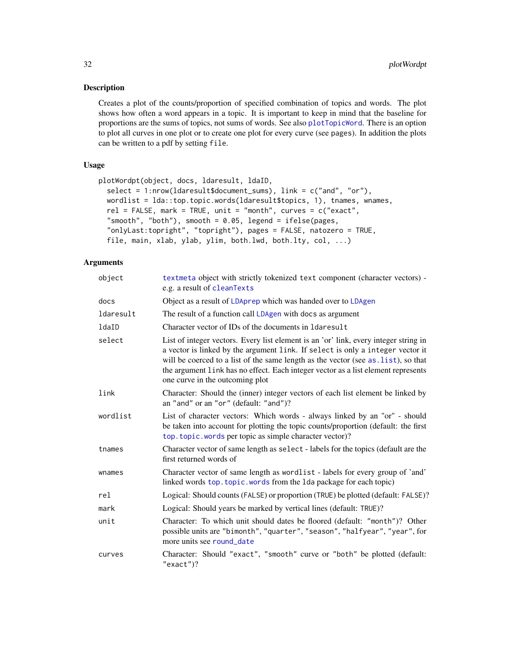<span id="page-31-0"></span>Creates a plot of the counts/proportion of specified combination of topics and words. The plot shows how often a word appears in a topic. It is important to keep in mind that the baseline for proportions are the sums of topics, not sums of words. See also [plotTopicWord](#page-28-1). There is an option to plot all curves in one plot or to create one plot for every curve (see pages). In addition the plots can be written to a pdf by setting file.

# Usage

```
plotWordpt(object, docs, ldaresult, ldaID,
  select = 1:nrow(ldaresult$document_sums), link = c("and", "or"),
 wordlist = lda::top.topic.words(ldaresult$topics, 1), tnames, wnames,
  rel = FALSE, mark = TRUE, unit = "month", curves = c("exact",
  "smooth", "both"), smooth = 0.05, legend = ifelse(pages,
  "onlyLast:topright", "topright"), pages = FALSE, natozero = TRUE,
  file, main, xlab, ylab, ylim, both.lwd, both.lty, col, ...)
```

| object    | textmeta object with strictly tokenized text component (character vectors) -<br>e.g. a result of cleanTexts                                                                                                                                                                                                                                                                           |
|-----------|---------------------------------------------------------------------------------------------------------------------------------------------------------------------------------------------------------------------------------------------------------------------------------------------------------------------------------------------------------------------------------------|
| docs      | Object as a result of LDAprep which was handed over to LDAgen                                                                                                                                                                                                                                                                                                                         |
| ldaresult | The result of a function call LDAgen with docs as argument                                                                                                                                                                                                                                                                                                                            |
| ldaID     | Character vector of IDs of the documents in 1 daresult                                                                                                                                                                                                                                                                                                                                |
| select    | List of integer vectors. Every list element is an 'or' link, every integer string in<br>a vector is linked by the argument link. If select is only a integer vector it<br>will be coerced to a list of the same length as the vector (see as . list), so that<br>the argument link has no effect. Each integer vector as a list element represents<br>one curve in the outcoming plot |
| link      | Character: Should the (inner) integer vectors of each list element be linked by<br>an "and" or an "or" (default: "and")?                                                                                                                                                                                                                                                              |
| wordlist  | List of character vectors: Which words - always linked by an "or" - should<br>be taken into account for plotting the topic counts/proportion (default: the first<br>top.topic.words per topic as simple character vector)?                                                                                                                                                            |
| tnames    | Character vector of same length as select - labels for the topics (default are the<br>first returned words of                                                                                                                                                                                                                                                                         |
| wnames    | Character vector of same length as wordlist - labels for every group of 'and'<br>linked words top. topic. words from the 1da package for each topic)                                                                                                                                                                                                                                  |
| rel       | Logical: Should counts (FALSE) or proportion (TRUE) be plotted (default: FALSE)?                                                                                                                                                                                                                                                                                                      |
| mark      | Logical: Should years be marked by vertical lines (default: TRUE)?                                                                                                                                                                                                                                                                                                                    |
| unit      | Character: To which unit should dates be floored (default: "month")? Other<br>possible units are "bimonth", "quarter", "season", "halfyear", "year", for<br>more units see round date                                                                                                                                                                                                 |
| curves    | Character: Should "exact", "smooth" curve or "both" be plotted (default:<br>$"exact")$ ?                                                                                                                                                                                                                                                                                              |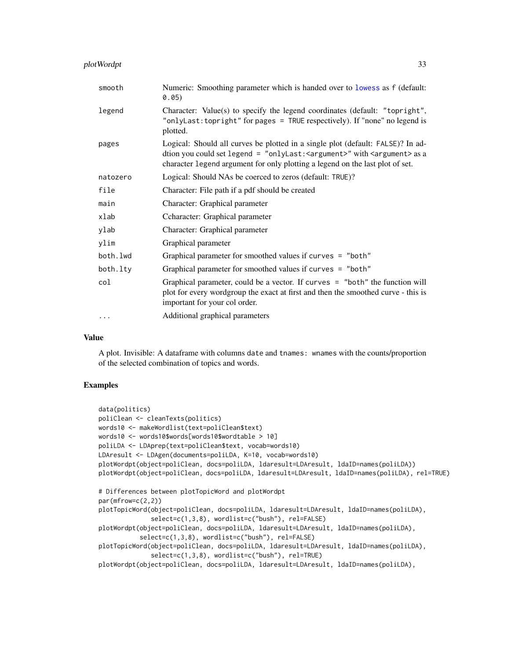# <span id="page-32-0"></span>plotWordpt 33

| smooth   | Numeric: Smoothing parameter which is handed over to lowess as f (default:<br>0.05)                                                                                                                                                            |
|----------|------------------------------------------------------------------------------------------------------------------------------------------------------------------------------------------------------------------------------------------------|
| legend   | Character: Value(s) to specify the legend coordinates (default: "topright",<br>"onlyLast: topright" for pages = TRUE respectively). If "none" no legend is<br>plotted.                                                                         |
| pages    | Logical: Should all curves be plotted in a single plot (default: FALSE)? In ad-<br>dtion you could set legend = "onlyLast: < argument>" with < argument> as a<br>character legend argument for only plotting a legend on the last plot of set. |
| natozero | Logical: Should NAs be coerced to zeros (default: TRUE)?                                                                                                                                                                                       |
| file     | Character: File path if a pdf should be created                                                                                                                                                                                                |
| main     | Character: Graphical parameter                                                                                                                                                                                                                 |
| xlab     | Ccharacter: Graphical parameter                                                                                                                                                                                                                |
| ylab     | Character: Graphical parameter                                                                                                                                                                                                                 |
| ylim     | Graphical parameter                                                                                                                                                                                                                            |
| both.lwd | Graphical parameter for smoothed values if curves = "both"                                                                                                                                                                                     |
| both.lty | Graphical parameter for smoothed values if curves = "both"                                                                                                                                                                                     |
| col      | Graphical parameter, could be a vector. If curves = "both" the function will<br>plot for every wordgroup the exact at first and then the smoothed curve - this is<br>important for your col order.                                             |
| $\cdots$ | Additional graphical parameters                                                                                                                                                                                                                |

# Value

A plot. Invisible: A dataframe with columns date and tnames: wnames with the counts/proportion of the selected combination of topics and words.

# Examples

```
data(politics)
poliClean <- cleanTexts(politics)
words10 <- makeWordlist(text=poliClean$text)
words10 <- words10$words[words10$wordtable > 10]
poliLDA <- LDAprep(text=poliClean$text, vocab=words10)
LDAresult <- LDAgen(documents=poliLDA, K=10, vocab=words10)
plotWordpt(object=poliClean, docs=poliLDA, ldaresult=LDAresult, ldaID=names(poliLDA))
plotWordpt(object=poliClean, docs=poliLDA, ldaresult=LDAresult, ldaID=names(poliLDA), rel=TRUE)
# Differences between plotTopicWord and plotWordpt
par(mfrow=c(2,2))
plotTopicWord(object=poliClean, docs=poliLDA, ldaresult=LDAresult, ldaID=names(poliLDA),
              select=c(1,3,8), wordlist=c("bush"), rel=FALSE)
plotWordpt(object=poliClean, docs=poliLDA, ldaresult=LDAresult, ldaID=names(poliLDA),
          select=c(1,3,8), wordlist=c("bush"), rel=FALSE)
plotTopicWord(object=poliClean, docs=poliLDA, ldaresult=LDAresult, ldaID=names(poliLDA),
              select=c(1,3,8), wordlist=c("bush"), rel=TRUE)
plotWordpt(object=poliClean, docs=poliLDA, ldaresult=LDAresult, ldaID=names(poliLDA),
```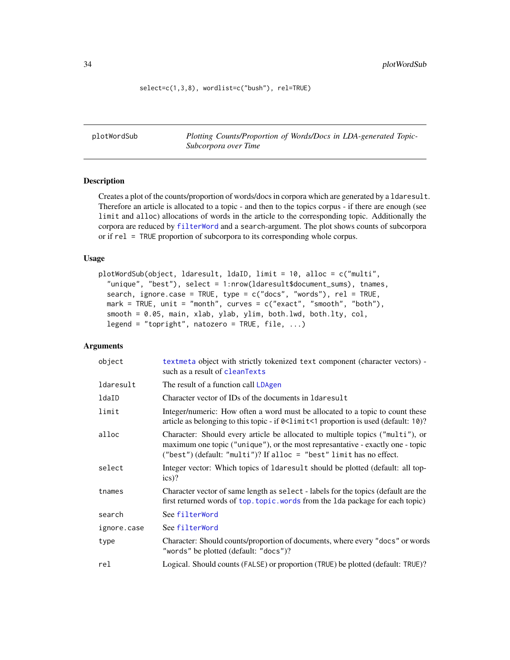<span id="page-33-0"></span>select=c(1,3,8), wordlist=c("bush"), rel=TRUE)

plotWordSub *Plotting Counts/Proportion of Words/Docs in LDA-generated Topic-Subcorpora over Time*

# Description

Creates a plot of the counts/proportion of words/docs in corpora which are generated by a ldaresult. Therefore an article is allocated to a topic - and then to the topics corpus - if there are enough (see limit and alloc) allocations of words in the article to the corresponding topic. Additionally the corpora are reduced by [filterWord](#page-11-1) and a search-argument. The plot shows counts of subcorpora or if rel = TRUE proportion of subcorpora to its corresponding whole corpus.

#### Usage

```
plotWordSub(object, ldaresult, ldaID, limit = 10, alloc = c("multi",
  "unique", "best"), select = 1:nrow(ldaresult$document_sums), tnames,
  search, ignore.case = TRUE, type = c("docs", "words"), rel = TRUE,
 mark = TRUE, unit = "month", curves = c("exact", "smooth", "both"),
  smooth = 0.05, main, xlab, ylab, ylim, both.lwd, both.lty, col,
  legend = "topright", natozero = TRUE, flip, ...
```

| object      | textmeta object with strictly tokenized text component (character vectors) -<br>such as a result of cleanTexts                                                                                                                         |
|-------------|----------------------------------------------------------------------------------------------------------------------------------------------------------------------------------------------------------------------------------------|
| ldaresult   | The result of a function call LDAgen                                                                                                                                                                                                   |
| ldaID       | Character vector of IDs of the documents in 1 daresult                                                                                                                                                                                 |
| limit       | Integer/numeric: How often a word must be allocated to a topic to count these<br>article as belonging to this topic - if $0 \leq l$ imit $\leq 1$ proportion is used (default: 10)?                                                    |
| alloc       | Character: Should every article be allocated to multiple topics ("multi"), or<br>maximum one topic ("unique"), or the most represantative - exactly one - topic<br>("best") (default: "multi")? If alloc = "best" limit has no effect. |
| select      | Integer vector: Which topics of Idaresult should be plotted (default: all top-<br>$ics)$ ?                                                                                                                                             |
| tnames      | Character vector of same length as select - labels for the topics (default are the<br>first returned words of top. topic. words from the 1da package for each topic)                                                                   |
| search      | See filterWord                                                                                                                                                                                                                         |
| ignore.case | See filterWord                                                                                                                                                                                                                         |
| type        | Character: Should counts/proportion of documents, where every "docs" or words<br>"words" be plotted (default: "docs")?                                                                                                                 |
| rel         | Logical. Should counts (FALSE) or proportion (TRUE) be plotted (default: TRUE)?                                                                                                                                                        |
|             |                                                                                                                                                                                                                                        |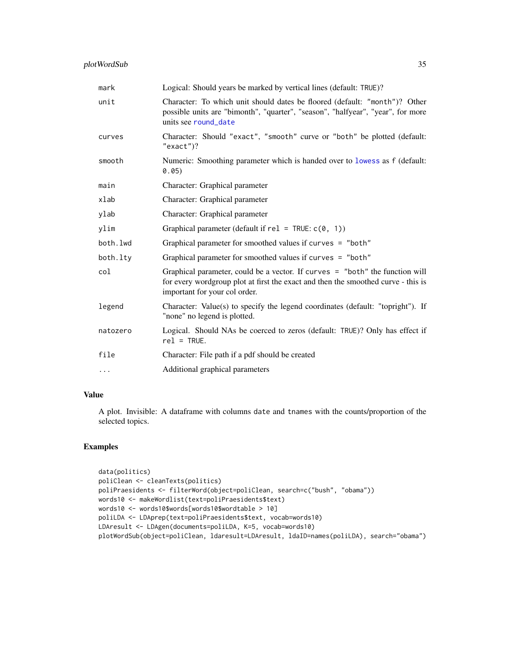<span id="page-34-0"></span>

| mark     | Logical: Should years be marked by vertical lines (default: TRUE)?                                                                                                                                   |
|----------|------------------------------------------------------------------------------------------------------------------------------------------------------------------------------------------------------|
| unit     | Character: To which unit should dates be floored (default: "month")? Other<br>possible units are "bimonth", "quarter", "season", "halfyear", "year", for more<br>units see round date                |
| curves   | Character: Should "exact", "smooth" curve or "both" be plotted (default:<br>" $exact$ ")?                                                                                                            |
| smooth   | Numeric: Smoothing parameter which is handed over to lowess as f (default:<br>0.05)                                                                                                                  |
| main     | Character: Graphical parameter                                                                                                                                                                       |
| xlab     | Character: Graphical parameter                                                                                                                                                                       |
| ylab     | Character: Graphical parameter                                                                                                                                                                       |
| ylim     | Graphical parameter (default if $rel = TRUE: c(0, 1)$ )                                                                                                                                              |
| both.lwd | Graphical parameter for smoothed values if curves = "both"                                                                                                                                           |
| both.lty | Graphical parameter for smoothed values if curves = "both"                                                                                                                                           |
| col      | Graphical parameter, could be a vector. If curves $=$ "both" the function will<br>for every wordgroup plot at first the exact and then the smoothed curve - this is<br>important for your col order. |
| legend   | Character: Value(s) to specify the legend coordinates (default: "topright"). If<br>"none" no legend is plotted.                                                                                      |
| natozero | Logical. Should NAs be coerced to zeros (default: TRUE)? Only has effect if<br>$rel = TRUE.$                                                                                                         |
| file     | Character: File path if a pdf should be created                                                                                                                                                      |
| $\cdots$ | Additional graphical parameters                                                                                                                                                                      |

# Value

A plot. Invisible: A dataframe with columns date and tnames with the counts/proportion of the selected topics.

# Examples

```
data(politics)
poliClean <- cleanTexts(politics)
poliPraesidents <- filterWord(object=poliClean, search=c("bush", "obama"))
words10 <- makeWordlist(text=poliPraesidents$text)
words10 <- words10$words[words10$wordtable > 10]
poliLDA <- LDAprep(text=poliPraesidents$text, vocab=words10)
LDAresult <- LDAgen(documents=poliLDA, K=5, vocab=words10)
plotWordSub(object=poliClean, ldaresult=LDAresult, ldaID=names(poliLDA), search="obama")
```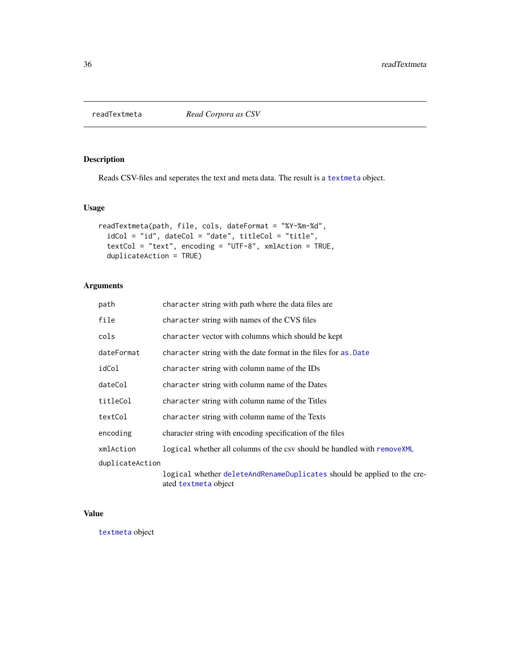<span id="page-35-1"></span><span id="page-35-0"></span>

Reads CSV-files and seperates the text and meta data. The result is a [textmeta](#page-40-1) object.

# Usage

```
readTextmeta(path, file, cols, dateFormat = "%Y-%m-%d",
  idCol = "id", dateCol = "date", titleCol = "title",
 textCol = "text", encoding = "UTF-8", xmlAction = TRUE,
 duplicateAction = TRUE)
```
# Arguments

| path            | character string with path where the data files are                                             |
|-----------------|-------------------------------------------------------------------------------------------------|
| file            | character string with names of the CVS files                                                    |
| cols            | character vector with columns which should be kept                                              |
| dateFormat      | character string with the date format in the files for as. Date                                 |
| idCol           | character string with column name of the IDs                                                    |
| dateCol         | character string with column name of the Dates                                                  |
| titleCol        | character string with column name of the Titles                                                 |
| textCol         | character string with column name of the Texts                                                  |
| encoding        | character string with encoding specification of the files                                       |
| xmlAction       | logical whether all columns of the csv should be handled with removeXML                         |
| duplicateAction |                                                                                                 |
|                 | logical whether deleteAndRenameDuplicates should be applied to the cre-<br>ated textmeta object |

# Value

[textmeta](#page-40-1) object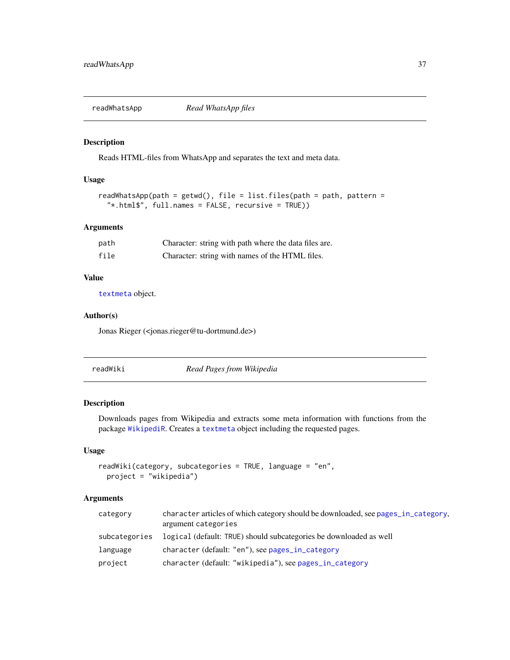<span id="page-36-0"></span>

Reads HTML-files from WhatsApp and separates the text and meta data.

#### Usage

```
readWhatsApp(path = getwd(), file = list.files(path = path, pattern =
  "*.html$", full.names = FALSE, recursive = TRUE))
```
# Arguments

| path | Character: string with path where the data files are. |
|------|-------------------------------------------------------|
| file | Character: string with names of the HTML files.       |

# Value

[textmeta](#page-40-1) object.

# Author(s)

Jonas Rieger (<jonas.rieger@tu-dortmund.de>)

readWiki *Read Pages from Wikipedia*

# Description

Downloads pages from Wikipedia and extracts some meta information with functions from the package [WikipediR](#page-0-0). Creates a [textmeta](#page-40-1) object including the requested pages.

#### Usage

```
readWiki(category, subcategories = TRUE, language = "en",
 project = "wikipedia")
```

| category      | character articles of which category should be downloaded, see pages in category.<br>argument categories |
|---------------|----------------------------------------------------------------------------------------------------------|
| subcategories | logical (default: TRUE) should subcategories be downloaded as well                                       |
| language      | character (default: "en"), see pages_in_category                                                         |
| project       | character (default: "wikipedia"), see pages_in_category                                                  |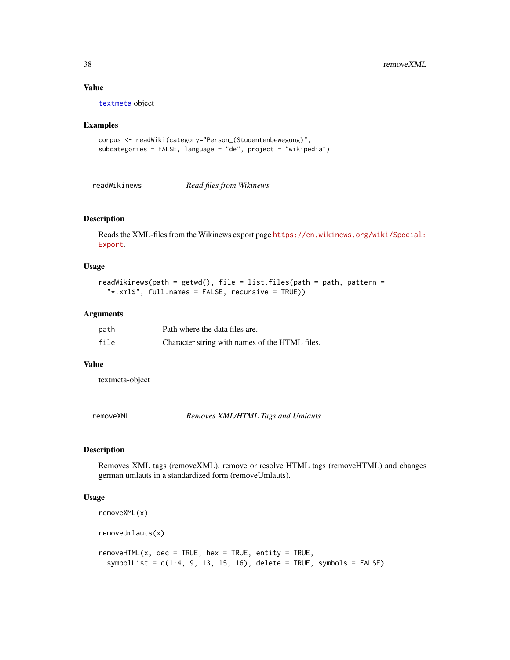#### Value

[textmeta](#page-40-1) object

#### Examples

```
corpus <- readWiki(category="Person_(Studentenbewegung)",
subcategories = FALSE, language = "de", project = "wikipedia")
```
readWikinews *Read files from Wikinews*

# Description

Reads the XML-files from the Wikinews export page [https://en.wikinews.org/wiki/Special:](https://en.wikinews.org/wiki/Special:Export) [Export](https://en.wikinews.org/wiki/Special:Export).

#### Usage

```
readWikinews(path = getwd(), file = list.files(path = path, pattern =
 "*.xml$", full.names = FALSE, recursive = TRUE))
```
#### Arguments

| path | Path where the data files are.                 |
|------|------------------------------------------------|
| file | Character string with names of the HTML files. |

#### Value

textmeta-object

<span id="page-37-1"></span>removeXML *Removes XML/HTML Tags and Umlauts*

# Description

Removes XML tags (removeXML), remove or resolve HTML tags (removeHTML) and changes german umlauts in a standardized form (removeUmlauts).

# Usage

```
removeXML(x)
removeUmlauts(x)
removeHTML(x, dec = TRUE, hex = TRUE, entity = TRUE,
  symbolList = c(1:4, 9, 13, 15, 16), delete = TRUE, symbols = FALSE)
```
<span id="page-37-0"></span>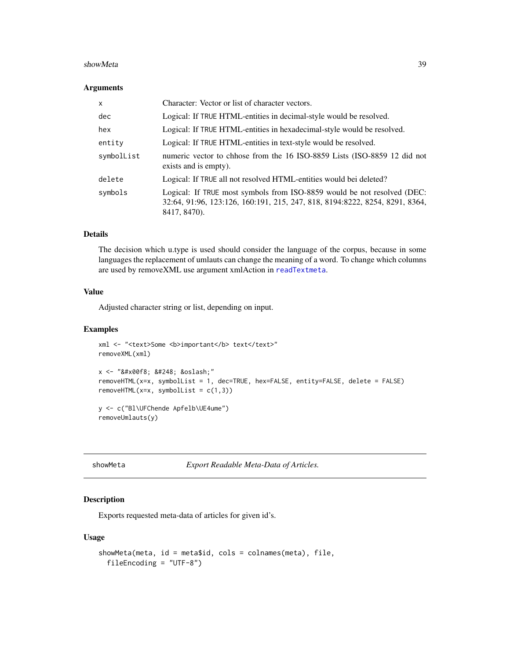#### <span id="page-38-0"></span>showMeta 39

#### Arguments

| X          | Character: Vector or list of character vectors.                                                                                                                        |
|------------|------------------------------------------------------------------------------------------------------------------------------------------------------------------------|
| dec        | Logical: If TRUE HTML-entities in decimal-style would be resolved.                                                                                                     |
| hex        | Logical: If TRUE HTML-entities in hexadecimal-style would be resolved.                                                                                                 |
| entity     | Logical: If TRUE HTML-entities in text-style would be resolved.                                                                                                        |
| symbolList | numeric vector to chhose from the 16 ISO-8859 Lists (ISO-8859 12 did not<br>exists and is empty).                                                                      |
| delete     | Logical: If TRUE all not resolved HTML-entities would bei deleted?                                                                                                     |
| symbols    | Logical: If TRUE most symbols from ISO-8859 would be not resolved (DEC:<br>32:64, 91:96, 123:126, 160:191, 215, 247, 818, 8194:8222, 8254, 8291, 8364,<br>8417, 8470). |

# Details

The decision which u.type is used should consider the language of the corpus, because in some languages the replacement of umlauts can change the meaning of a word. To change which columns are used by removeXML use argument xmlAction in [readTextmeta](#page-35-1).

# Value

Adjusted character string or list, depending on input.

# Examples

```
xml <- "<text>Some <b>important</b> text</text>"
removeXML(xml)
x <- "&#x00f8; &#248; &oslash;"
removeHTML(x=x, symbolList = 1, dec=TRUE, hex=FALSE, entity=FALSE, delete = FALSE)
removeHTML(x=x, symbolList = c(1,3))
y <- c("Bl\UFChende Apfelb\UE4ume")
removeUmlauts(y)
```
showMeta *Export Readable Meta-Data of Articles.*

# Description

Exports requested meta-data of articles for given id's.

#### Usage

```
showMeta(meta, id = meta$id, cols = colnames(meta), file,
 fileEncoding = "UTF-8")
```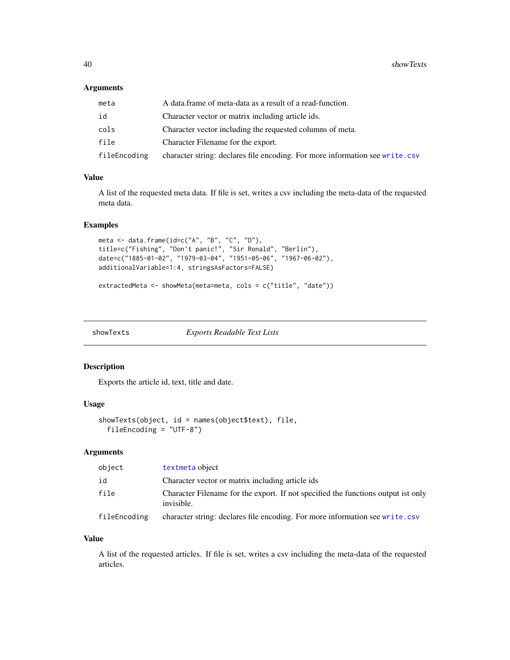# <span id="page-39-0"></span>Arguments

| meta         | A data frame of meta-data as a result of a read-function.                    |
|--------------|------------------------------------------------------------------------------|
| id           | Character vector or matrix including article ids.                            |
| cols         | Character vector including the requested columns of meta.                    |
| file         | Character Filename for the export.                                           |
| fileEncoding | character string: declares file encoding. For more information see write.csv |

# Value

A list of the requested meta data. If file is set, writes a csv including the meta-data of the requested meta data.

# Examples

```
meta <- data.frame(id=c("A", "B", "C", "D"),
title=c("Fishing", "Don't panic!", "Sir Ronald", "Berlin"),
date=c("1885-01-02", "1979-03-04", "1951-05-06", "1967-06-02"),
additionalVariable=1:4, stringsAsFactors=FALSE)
```

```
extractedMeta <- showMeta(meta=meta, cols = c("title", "date"))
```
showTexts *Exports Readable Text Lists*

#### Description

Exports the article id, text, title and date.

# Usage

```
showTexts(object, id = names(object$text), file,
 fileEncoding = "UTF-8")
```
# Arguments

| object       | textmeta object                                                                                 |
|--------------|-------------------------------------------------------------------------------------------------|
| id           | Character vector or matrix including article ids                                                |
| file         | Character Filename for the export. If not specified the functions output ist only<br>invisible. |
| fileEncoding | character string: declares file encoding. For more information see write.csv                    |

# Value

A list of the requested articles. If file is set, writes a csv including the meta-data of the requested articles.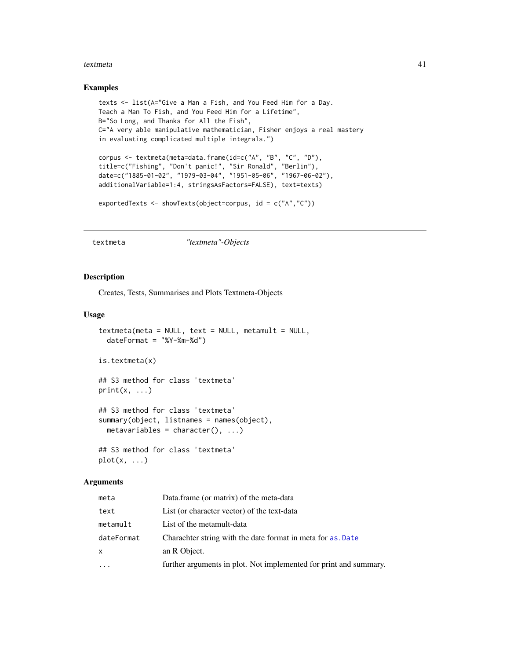#### <span id="page-40-0"></span>textmeta 41

#### Examples

```
texts <- list(A="Give a Man a Fish, and You Feed Him for a Day.
Teach a Man To Fish, and You Feed Him for a Lifetime",
B="So Long, and Thanks for All the Fish",
C="A very able manipulative mathematician, Fisher enjoys a real mastery
in evaluating complicated multiple integrals.")
corpus <- textmeta(meta=data.frame(id=c("A", "B", "C", "D"),
title=c("Fishing", "Don't panic!", "Sir Ronald", "Berlin"),
date=c("1885-01-02", "1979-03-04", "1951-05-06", "1967-06-02"),
additionalVariable=1:4, stringsAsFactors=FALSE), text=texts)
exportedTexts <- showTexts(object=corpus, id = c("A","C"))
```
<span id="page-40-1"></span>textmeta *"textmeta"-Objects*

#### Description

Creates, Tests, Summarises and Plots Textmeta-Objects

#### Usage

```
textrextmeta(meta = NULL, text = NULL, metamult = NULL,
  dateFormat = "XY-Xm-Xd")is.textmeta(x)
## S3 method for class 'textmeta'
print(x, \ldots)## S3 method for class 'textmeta'
summary(object, listnames = names(object),
 metavariables = character(), ...)## S3 method for class 'textmeta'
plot(x, \ldots)
```

| meta       | Data.frame (or matrix) of the meta-data                           |
|------------|-------------------------------------------------------------------|
| text       | List (or character vector) of the text-data                       |
| metamult   | List of the metamult-data                                         |
| dateFormat | Charachter string with the date format in meta for as .Date       |
| x          | an R Object.                                                      |
| $\cdots$   | further arguments in plot. Not implemented for print and summary. |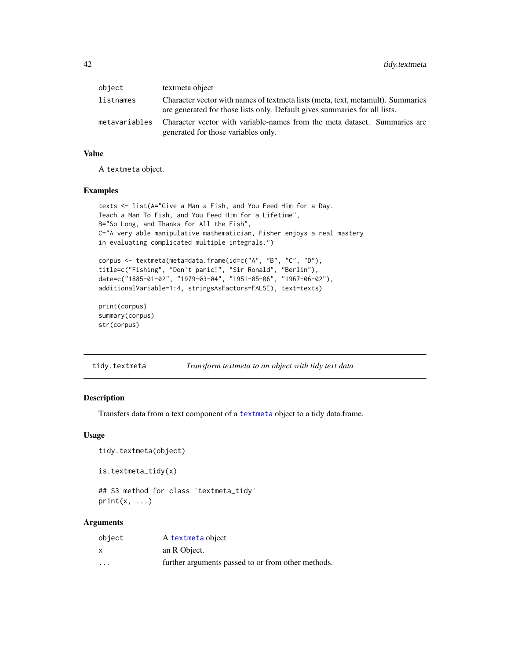<span id="page-41-0"></span>

| object        | textmeta object                                                                                                                                               |
|---------------|---------------------------------------------------------------------------------------------------------------------------------------------------------------|
| listnames     | Character vector with names of textmeta lists (meta, text, metamult). Summaries<br>are generated for those lists only. Default gives summaries for all lists. |
| metavariables | Character vector with variable-names from the meta dataset. Summaries are<br>generated for those variables only.                                              |

#### Value

A textmeta object.

#### Examples

```
texts <- list(A="Give a Man a Fish, and You Feed Him for a Day.
Teach a Man To Fish, and You Feed Him for a Lifetime",
B="So Long, and Thanks for All the Fish",
C="A very able manipulative mathematician, Fisher enjoys a real mastery
in evaluating complicated multiple integrals.")
corpus <- textmeta(meta=data.frame(id=c("A", "B", "C", "D"),
```

```
title=c("Fishing", "Don't panic!", "Sir Ronald", "Berlin"),
date=c("1885-01-02", "1979-03-04", "1951-05-06", "1967-06-02"),
additionalVariable=1:4, stringsAsFactors=FALSE), text=texts)
```

```
print(corpus)
summary(corpus)
str(corpus)
```

| tidy.textmeta | Transform textmeta to an object with tidy text data |  |
|---------------|-----------------------------------------------------|--|
|               |                                                     |  |

# Description

Transfers data from a text component of a [textmeta](#page-40-1) object to a tidy data.frame.

#### Usage

```
tidy.textmeta(object)
```

```
is.textmeta_tidy(x)
```

```
## S3 method for class 'textmeta_tidy'
print(x, \ldots)
```

| object            | A textmeta object                                  |
|-------------------|----------------------------------------------------|
| X                 | an R Object.                                       |
| $\cdot\cdot\cdot$ | further arguments passed to or from other methods. |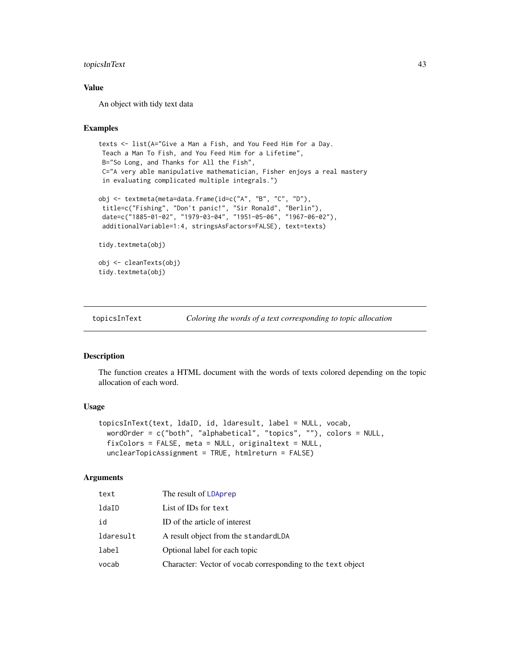# <span id="page-42-0"></span>topicsInText 43

# Value

An object with tidy text data

# Examples

```
texts <- list(A="Give a Man a Fish, and You Feed Him for a Day.
Teach a Man To Fish, and You Feed Him for a Lifetime",
B="So Long, and Thanks for All the Fish",
C="A very able manipulative mathematician, Fisher enjoys a real mastery
in evaluating complicated multiple integrals.")
obj <- textmeta(meta=data.frame(id=c("A", "B", "C", "D"),
 title=c("Fishing", "Don't panic!", "Sir Ronald", "Berlin"),
 date=c("1885-01-02", "1979-03-04", "1951-05-06", "1967-06-02"),
 additionalVariable=1:4, stringsAsFactors=FALSE), text=texts)
tidy.textmeta(obj)
obj <- cleanTexts(obj)
tidy.textmeta(obj)
```
topicsInText *Coloring the words of a text corresponding to topic allocation*

#### Description

The function creates a HTML document with the words of texts colored depending on the topic allocation of each word.

# Usage

```
topicsInText(text, ldaID, id, ldaresult, label = NULL, vocab,
 wordOrder = c("both", "alphabetical", "topics", ""), colors = NULL,
 fixColors = FALSE, meta = NULL, originaltext = NULL,
  unclearTopicAssignment = TRUE, htmlreturn = FALSE)
```

| text      | The result of LDAprep                                       |
|-----------|-------------------------------------------------------------|
| ldaID     | List of IDs for text                                        |
| id        | ID of the article of interest                               |
| ldaresult | A result object from the standard LDA                       |
| label     | Optional label for each topic                               |
| vocab     | Character: Vector of vocab corresponding to the text object |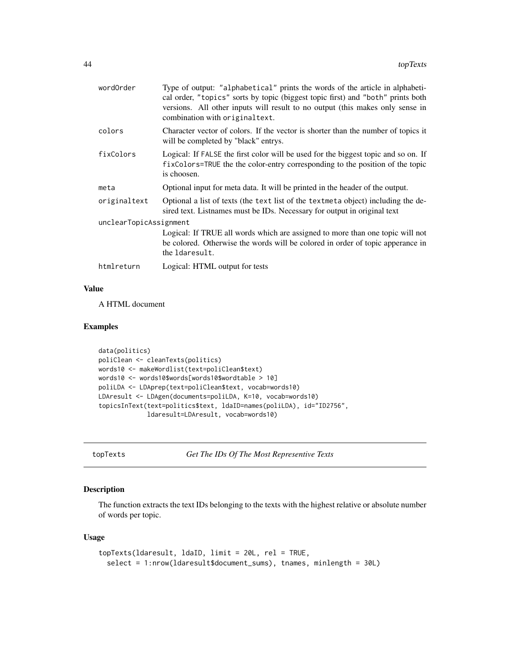<span id="page-43-0"></span>

| wordOrder              | Type of output: "alphabetical" prints the words of the article in alphabeti-<br>cal order, "topics" sorts by topic (biggest topic first) and "both" prints both<br>versions. All other inputs will result to no output (this makes only sense in<br>combination with original text. |  |
|------------------------|-------------------------------------------------------------------------------------------------------------------------------------------------------------------------------------------------------------------------------------------------------------------------------------|--|
| colors                 | Character vector of colors. If the vector is shorter than the number of topics it<br>will be completed by "black" entrys.                                                                                                                                                           |  |
| fixColors              | Logical: If FALSE the first color will be used for the biggest topic and so on. If<br>fixColors=TRUE the the color-entry corresponding to the position of the topic<br>is choosen.                                                                                                  |  |
| meta                   | Optional input for meta data. It will be printed in the header of the output.                                                                                                                                                                                                       |  |
| originaltext           | Optional a list of texts (the text list of the textmeta object) including the de-<br>sired text. Listnames must be IDs. Necessary for output in original text                                                                                                                       |  |
| unclearTopicAssignment |                                                                                                                                                                                                                                                                                     |  |
|                        | Logical: If TRUE all words which are assigned to more than one topic will not<br>be colored. Otherwise the words will be colored in order of topic apperance in<br>the Idaresult.                                                                                                   |  |
| htmlreturn             | Logical: HTML output for tests                                                                                                                                                                                                                                                      |  |
|                        |                                                                                                                                                                                                                                                                                     |  |

# Value

A HTML document

# Examples

```
data(politics)
poliClean <- cleanTexts(politics)
words10 <- makeWordlist(text=poliClean$text)
words10 <- words10$words[words10$wordtable > 10]
poliLDA <- LDAprep(text=poliClean$text, vocab=words10)
LDAresult <- LDAgen(documents=poliLDA, K=10, vocab=words10)
topicsInText(text=politics$text, ldaID=names(poliLDA), id="ID2756",
             ldaresult=LDAresult, vocab=words10)
```
topTexts *Get The IDs Of The Most Representive Texts*

# Description

The function extracts the text IDs belonging to the texts with the highest relative or absolute number of words per topic.

# Usage

```
topTexts(ldaresult, ldaID, limit = 20L, rel = TRUE,
 select = 1:nrow(ldaresult$document_sums), tnames, minlength = 30L)
```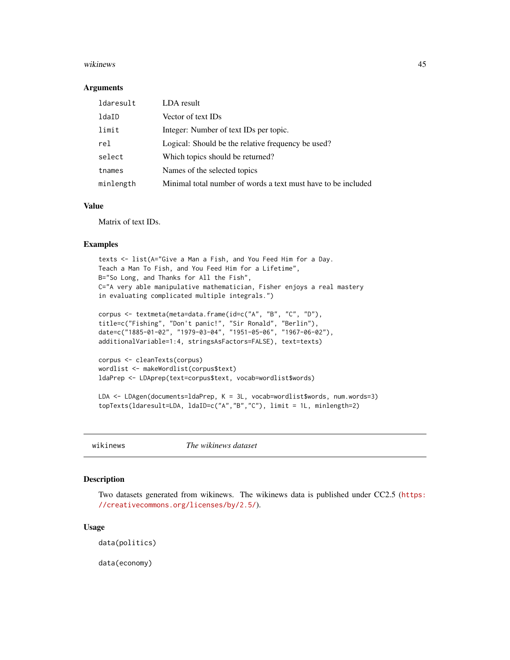#### <span id="page-44-0"></span>wikinews 45

#### **Arguments**

| ldaresult | LDA result                                                    |
|-----------|---------------------------------------------------------------|
| ldaID     | Vector of text IDs                                            |
| limit     | Integer: Number of text IDs per topic.                        |
| rel       | Logical: Should be the relative frequency be used?            |
| select    | Which topics should be returned?                              |
| tnames    | Names of the selected topics                                  |
| minlength | Minimal total number of words a text must have to be included |

# Value

Matrix of text IDs.

#### Examples

```
texts <- list(A="Give a Man a Fish, and You Feed Him for a Day.
Teach a Man To Fish, and You Feed Him for a Lifetime",
B="So Long, and Thanks for All the Fish",
C="A very able manipulative mathematician, Fisher enjoys a real mastery
in evaluating complicated multiple integrals.")
corpus <- textmeta(meta=data.frame(id=c("A", "B", "C", "D"),
title=c("Fishing", "Don't panic!", "Sir Ronald", "Berlin"),
date=c("1885-01-02", "1979-03-04", "1951-05-06", "1967-06-02"),
additionalVariable=1:4, stringsAsFactors=FALSE), text=texts)
corpus <- cleanTexts(corpus)
wordlist <- makeWordlist(corpus$text)
ldaPrep <- LDAprep(text=corpus$text, vocab=wordlist$words)
LDA <- LDAgen(documents=ldaPrep, K = 3L, vocab=wordlist$words, num.words=3)
topTexts(ldaresult=LDA, ldaID=c("A","B","C"), limit = 1L, minlength=2)
```
wikinews *The wikinews dataset*

#### Description

Two datasets generated from wikinews. The wikinews data is published under CC2.5 ([https:](https://creativecommons.org/licenses/by/2.5/) [//creativecommons.org/licenses/by/2.5/](https://creativecommons.org/licenses/by/2.5/)).

#### Usage

data(politics)

data(economy)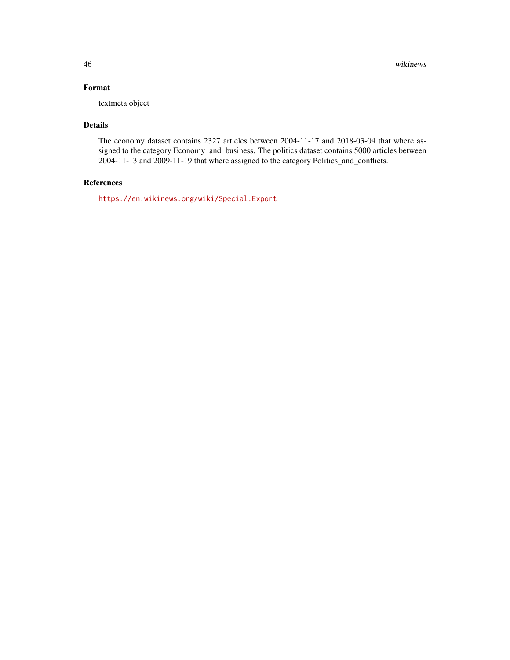# Format

textmeta object

# Details

The economy dataset contains 2327 articles between 2004-11-17 and 2018-03-04 that where assigned to the category Economy\_and\_business. The politics dataset contains 5000 articles between 2004-11-13 and 2009-11-19 that where assigned to the category Politics\_and\_conflicts.

# References

<https://en.wikinews.org/wiki/Special:Export>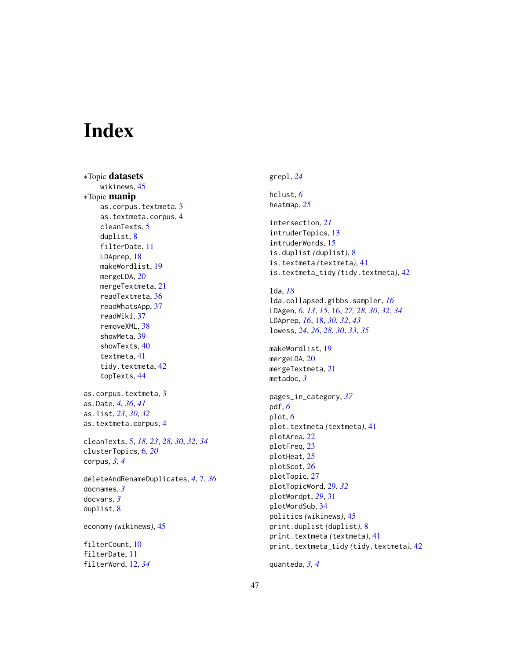# <span id="page-46-0"></span>**Index**

∗Topic datasets wikinews, [45](#page-44-0) ∗Topic manip as.corpus.textmeta, [3](#page-2-0) as.textmeta.corpus, [4](#page-3-0) cleanTexts, [5](#page-4-0) duplist, [8](#page-7-0) filterDate, [11](#page-10-0) LDAprep, [18](#page-17-0) makeWordlist, [19](#page-18-0) mergeLDA, [20](#page-19-0) mergeTextmeta, [21](#page-20-0) readTextmeta, [36](#page-35-0) readWhatsApp, [37](#page-36-0) readWiki, [37](#page-36-0) removeXML, [38](#page-37-0) showMeta, [39](#page-38-0) showTexts, [40](#page-39-0) textmeta, [41](#page-40-0) tidy.textmeta, [42](#page-41-0) topTexts, [44](#page-43-0) as.corpus.textmeta, [3](#page-2-0) as.Date, *[4](#page-3-0)*, *[36](#page-35-0)*, *[41](#page-40-0)* as.list, *[23](#page-22-0)*, *[30](#page-29-0)*, *[32](#page-31-0)* as.textmeta.corpus, [4](#page-3-0) cleanTexts, [5,](#page-4-0) *[18](#page-17-0)*, *[23](#page-22-0)*, *[28](#page-27-0)*, *[30](#page-29-0)*, *[32](#page-31-0)*, *[34](#page-33-0)* clusterTopics, [6,](#page-5-0) *[20](#page-19-0)* corpus, *[3,](#page-2-0) [4](#page-3-0)* deleteAndRenameDuplicates, *[4](#page-3-0)*, [7,](#page-6-0) *[36](#page-35-0)* docnames, *[3](#page-2-0)* docvars, *[3](#page-2-0)* duplist, [8](#page-7-0) economy *(*wikinews*)*, [45](#page-44-0) filterCount, [10](#page-9-0) filterDate, [11](#page-10-0) filterWord, [12,](#page-11-0) *[34](#page-33-0)*

# grepl, *[24](#page-23-0)*

hclust, *[6](#page-5-0)* heatmap, *[25](#page-24-0)*

intersection, *[21](#page-20-0)* intruderTopics, [13](#page-12-0) intruderWords, [15](#page-14-0) is.duplist *(*duplist*)*, [8](#page-7-0) is.textmeta *(*textmeta*)*, [41](#page-40-0) is.textmeta\_tidy *(*tidy.textmeta*)*, [42](#page-41-0) lda, *[18](#page-17-0)* lda.collapsed.gibbs.sampler, *[16](#page-15-0)* LDAgen, *[6](#page-5-0)*, *[13](#page-12-0)*, *[15](#page-14-0)*, [16,](#page-15-0) *[27,](#page-26-0) [28](#page-27-0)*, *[30](#page-29-0)*, *[32](#page-31-0)*, *[34](#page-33-0)* LDAprep, *[16](#page-15-0)*, [18,](#page-17-0) *[30](#page-29-0)*, *[32](#page-31-0)*, *[43](#page-42-0)* lowess, *[24](#page-23-0)*, *[26](#page-25-0)*, *[28](#page-27-0)*, *[30](#page-29-0)*, *[33](#page-32-0)*, *[35](#page-34-0)* makeWordlist, [19](#page-18-0) mergeLDA, [20](#page-19-0) mergeTextmeta, [21](#page-20-0) metadoc, *[3](#page-2-0)* pages\_in\_category, *[37](#page-36-0)* pdf, *[6](#page-5-0)* plot, *[6](#page-5-0)* plot.textmeta *(*textmeta*)*, [41](#page-40-0) plotArea, [22](#page-21-0) plotFreq, [23](#page-22-0) plotHeat, [25](#page-24-0) plotScot, [26](#page-25-0)

plotTopic, [27](#page-26-0) plotTopicWord, [29,](#page-28-0) *[32](#page-31-0)* plotWordpt, *[29](#page-28-0)*, [31](#page-30-0) plotWordSub, [34](#page-33-0) politics *(*wikinews*)*, [45](#page-44-0) print.duplist *(*duplist*)*, [8](#page-7-0) print.textmeta *(*textmeta*)*, [41](#page-40-0) print.textmeta\_tidy *(*tidy.textmeta*)*, [42](#page-41-0)

quanteda, *[3,](#page-2-0) [4](#page-3-0)*